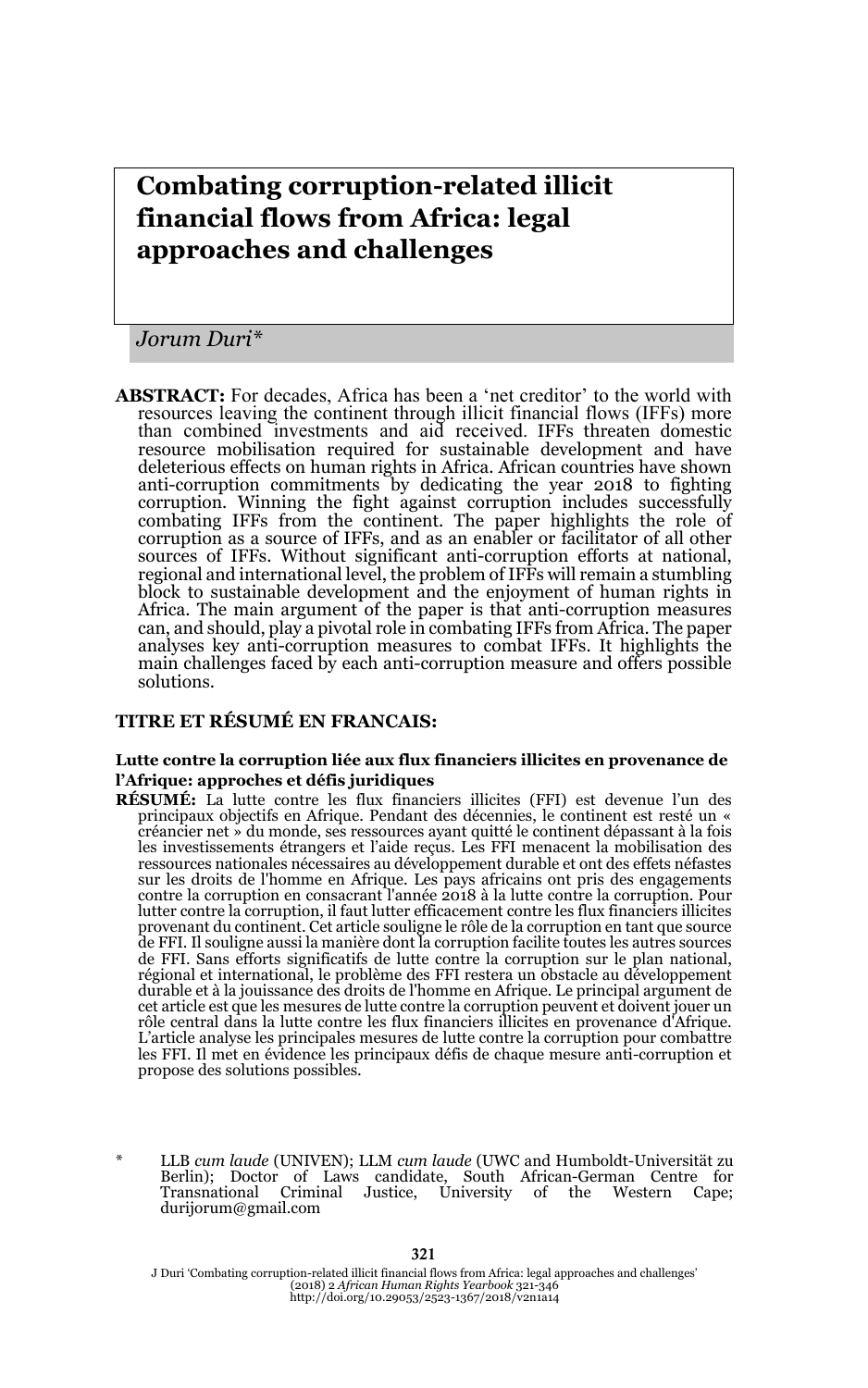# **Combating corruption-related illicit financial flows from Africa: legal approaches and challenges**

*Jorum Duri\**

**ABSTRACT:** For decades, Africa has been a 'net creditor' to the world with resources leaving the continent through illicit financial flows (IFFs) more than combined investments and aid received. IFFs threaten domestic resource mobilisation required for sustainable development and have deleterious effects on human rights in Africa. African countries have shown anti-corruption commitments by dedicating the year 2018 to fighting corruption. Winning the fight against corruption includes successfully combating IFFs from the continent. The paper highlights the role of corruption as a source of IFFs, and as an enabler or facilitator of all other sources of IFFs. Without significant anti-corruption efforts at national, regional and international level, the problem of IFFs will remain a stumbling block to sustainable development and the enjoyment of human rights in Africa. The main argument of the paper is that anti-corruption measures can, and should, play a pivotal role in combating IFFs from Africa. The paper analyses key anti-corruption measures to combat IFFs. It highlights the main challenges faced by each anti-corruption measure and offers possible solutions.

### **TITRE ET RÉSUMÉ EN FRANCAIS:**

#### **Lutte contre la corruption liée aux flux financiers illicites en provenance de l'Afrique: approches et défis juridiques**

- **RÉSUMÉ:** La lutte contre les flux financiers illicites (FFI) est devenue l'un des principaux objectifs en Afrique. Pendant des décennies, le continent est resté un « créancier net » du monde, ses ressources ayant quitté le continent dépassant à la fois les investissements étrangers et l'aide reçus. Les FFI menacent la mobilisation des ressources nationales nécessaires au développement durable et ont des effets néfastes sur les droits de l'homme en Afrique. Les pays africains ont pris des engagements contre la corruption en consacrant l'année 2018 à la lutte contre la corruption. Pour lutter contre la corruption, il faut lutter efficacement contre les flux financiers illicites provenant du continent. Cet article souligne le rôle de la corruption en tant que source de FFI. Il souligne aussi la manière dont la corruption facilite toutes les autres sources de FFI. Sans efforts significatifs de lutte contre la corruption sur le plan national, régional et international, le problème des FFI restera un obstacle au développement durable et à la jouissance des droits de l'homme en Afrique. Le principal argument de cet article est que les mesures de lutte contre la corruption peuvent et doivent jouer un rôle central dans la lutte contre les flux financiers illicites en provenance d'Afrique. L'article analyse les principales mesures de lutte contre la corruption pour combattre les FFI. Il met en évidence les principaux défis de chaque mesure anti-corruption et propose des solutions possibles.
- \* LLB *cum laude* (UNIVEN); LLM *cum laude* (UWC and Humboldt-Universität zu Berlin); Doctor of Laws candidate, South African-German Centre for Transnational Criminal Justice, University of the Western Cape; durijorum@gmail.com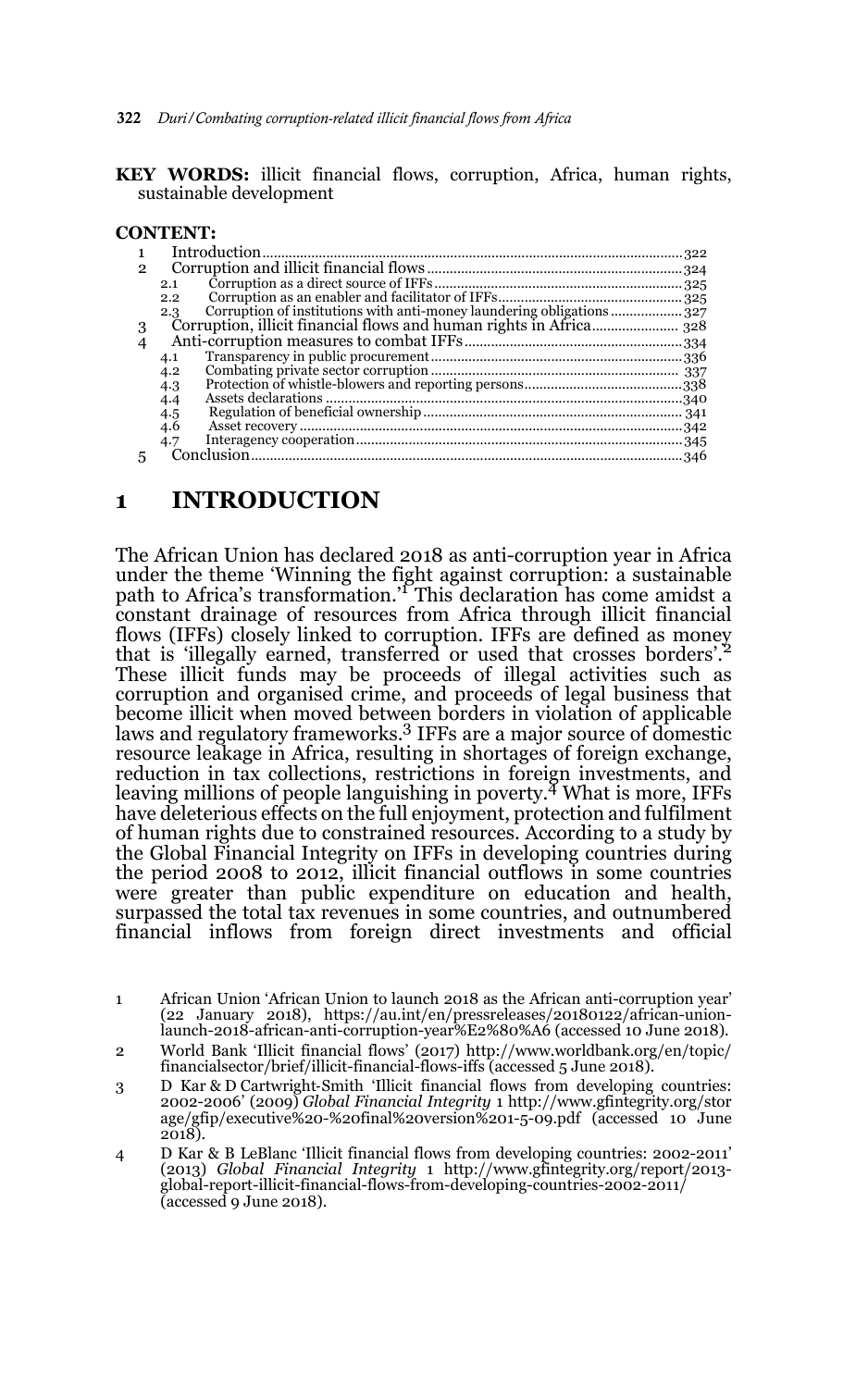**KEY WORDS:** illicit financial flows, corruption, Africa, human rights, sustainable development

### **CONTENT:**

| 2 |     |  |
|---|-----|--|
|   | 2.1 |  |
|   | 2.2 |  |
|   | 2.3 |  |
| 3 |     |  |
|   |     |  |
|   | 4.1 |  |
|   | 4.2 |  |
|   | 4.3 |  |
|   | 4.4 |  |
|   | 4.5 |  |
|   | 4.6 |  |
|   | 4.7 |  |
| 5 |     |  |
|   |     |  |

### **1 INTRODUCTION**

The African Union has declared 2018 as anti-corruption year in Africa under the theme 'Winning the fight against corruption: a sustainable path to Africa's transformation.'1 This declaration has come amidst a constant drainage of resources from Africa through illicit financial flows (IFFs) closely linked to corruption. IFFs are defined as money that is 'illegally earned, transferred or used that crosses borders'.<sup>2</sup> These illicit funds may be proceeds of illegal activities such as corruption and organised crime, and proceeds of legal business that become illicit when moved between borders in violation of applicable laws and regulatory frameworks.<sup>3</sup> IFFs are a major source of domestic resource leakage in Africa, resulting in shortages of foreign exchange, reduction in tax collections, restrictions in foreign investments, and leaving millions of people languishing in poverty.<sup> $\frac{4}{3}$ </sup> What is more, IFFs have deleterious effects on the full enjoyment, protection and fulfilment of human rights due to constrained resources. According to a study by the Global Financial Integrity on IFFs in developing countries during the period 2008 to 2012, illicit financial outflows in some countries were greater than public expenditure on education and health, surpassed the total tax revenues in some countries, and outnumbered financial inflows from foreign direct investments and official

- 3 D Kar & D Cartwright‐Smith 'Illicit financial flows from developing countries: 2002-2006' (2009) *Global Financial Integrity* 1 http://www.gfintegrity.org/stor age/gfip/executive%20-%20final%20version%201-5-09.pdf (accessed 10 June 2018).
- 4 D Kar & B LeBlanc 'Illicit financial flows from developing countries: 2002-2011' (2013) *Global Financial Integrity* 1 http://www.gfintegrity.org/report/2013 global-report-illicit-financial-flows-from-developing-countries-2002-2011/ (accessed 9 June 2018).

<sup>1</sup> African Union 'African Union to launch 2018 as the African anti-corruption year' (22 January 2018), https://au.int/en/pressreleases/20180122/african-unionlaunch-2018-african-anti-corruption-year%E2%80%A6 (accessed 10 June 2018).

<sup>2</sup> World Bank 'Illicit financial flows' (2017) http://www.worldbank.org/en/topic/ financialsector/brief/illicit-financial-flows-iffs (accessed 5 June 2018).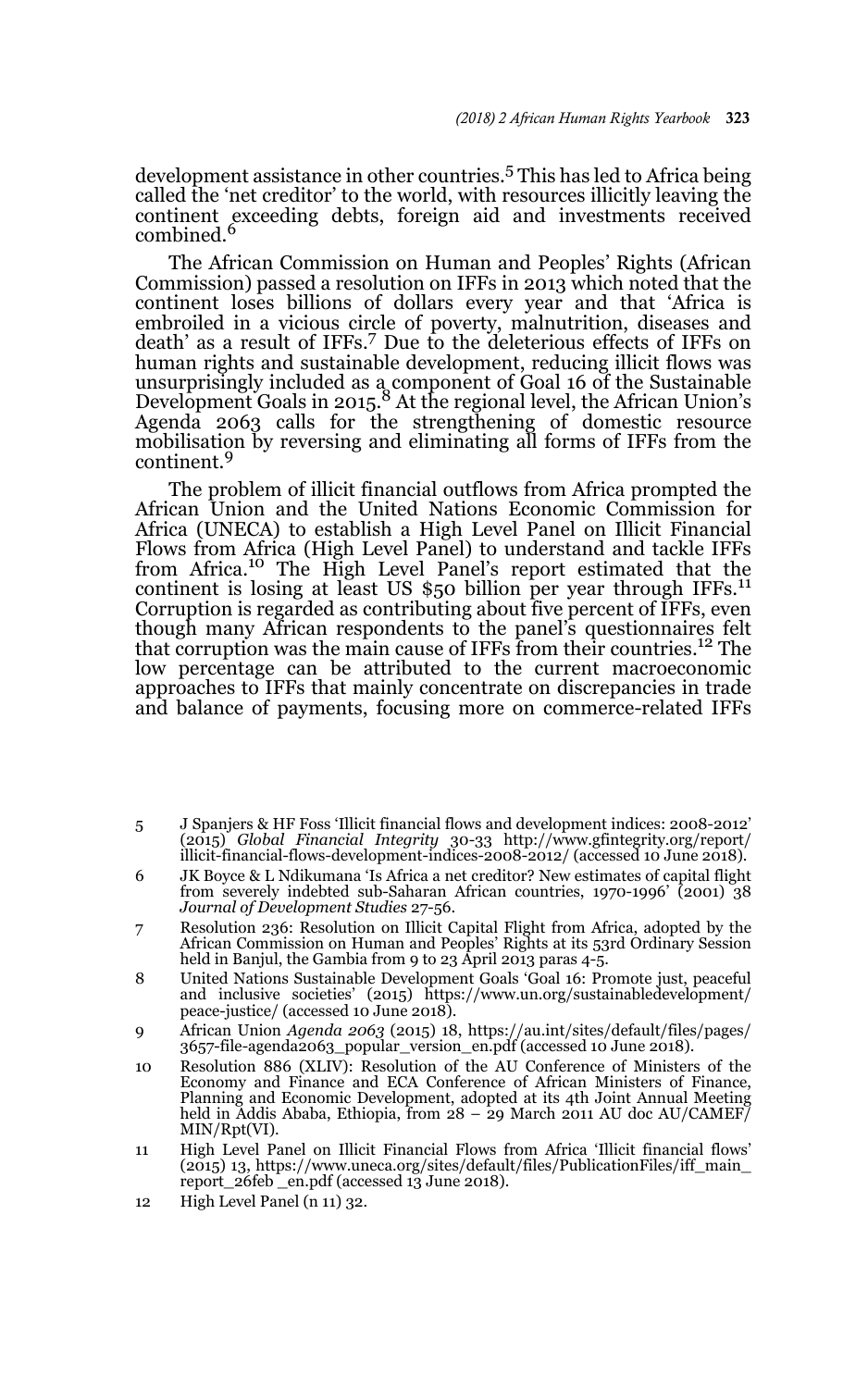development assistance in other countries.5 This has led to Africa being called the 'net creditor' to the world, with resources illicitly leaving the continent exceeding debts, foreign aid and investments received combined.

The African Commission on Human and Peoples' Rights (African Commission) passed a resolution on IFFs in 2013 which noted that the continent loses billions of dollars every year and that 'Africa is embroiled in a vicious circle of poverty, malnutrition, diseases and death' as a result of IFFs.7 Due to the deleterious effects of IFFs on human rights and sustainable development, reducing illicit flows was unsurprisingly included as a component of Goal 16 of the Sustainable<br>Development Goals in 2015.<sup>8</sup> At the regional level, the African Union's Agenda 2063 calls for the strengthening of domestic resource mobilisation by reversing and eliminating all forms of IFFs from the continent.<sup>9</sup>

The problem of illicit financial outflows from Africa prompted the African Union and the United Nations Economic Commission for Africa (UNECA) to establish a High Level Panel on Illicit Financial Flows from Africa (High Level Panel) to understand and tackle IFFs from Africa.10 The High Level Panel's report estimated that the continent is losing at least US  $$50$  billion per year through IFFs.<sup>11</sup> Corruption is regarded as contributing about five percent of IFFs, even though many African respondents to the panel's questionnaires felt<br>that corruption was the main cause of IFFs from their countries.<sup>12</sup> The low percentage can be attributed to the current macroeconomic approaches to IFFs that mainly concentrate on discrepancies in trade and balance of payments, focusing more on commerce-related IFFs

- 5 J Spanjers & HF Foss 'Illicit financial flows and development indices: 2008-2012' (2015) *Global Financial Integrity* 30-33 http://www.gfintegrity.org/report/ illicit-financial-flows-development-indices-2008-2012/ (accessed 10 June 2018).
- 6 JK Boyce & L Ndikumana 'Is Africa a net creditor? New estimates of capital flight from severely indebted sub-Saharan African countries, 1970-1996' (2001) 38 *Journal of Development Studies* 27-56.
- 7 Resolution 236: Resolution on Illicit Capital Flight from Africa, adopted by the African Commission on Human and Peoples' Rights at its 53rd Ordinary Session held in Banjul, the Gambia from 9 to 23 April 2013 paras 4-5.
- 8 United Nations Sustainable Development Goals 'Goal 16: Promote just, peaceful and inclusive societies' (2015) https://www.un.org/sustainabledevelopment/ peace-justice/ (accessed 10 June 2018).
- 9 African Union *Agenda 2063* (2015) 18, https://au.int/sites/default/files/pages/ 3657-file-agenda2063\_popular\_version\_en.pdf (accessed 10 June 2018).
- 10 Resolution 886 (XLIV): Resolution of the AU Conference of Ministers of the Economy and Finance and ECA Conference of African Ministers of Finance, Planning and Economic Development, adopted at its 4th Joint Annual Meeting held in Addis Ababa, Ethiopia, from 28 – 29 March 2011 AU doc AU/CAMEF/ MIN/Rpt(VI).
- 11 High Level Panel on Illicit Financial Flows from Africa 'Illicit financial flows' (2015) 13, https://www.uneca.org/sites/default/files/PublicationFiles/iff\_main\_ report\_26feb \_en.pdf (accessed 13 June 2018).
- 12 High Level Panel (n 11) 32.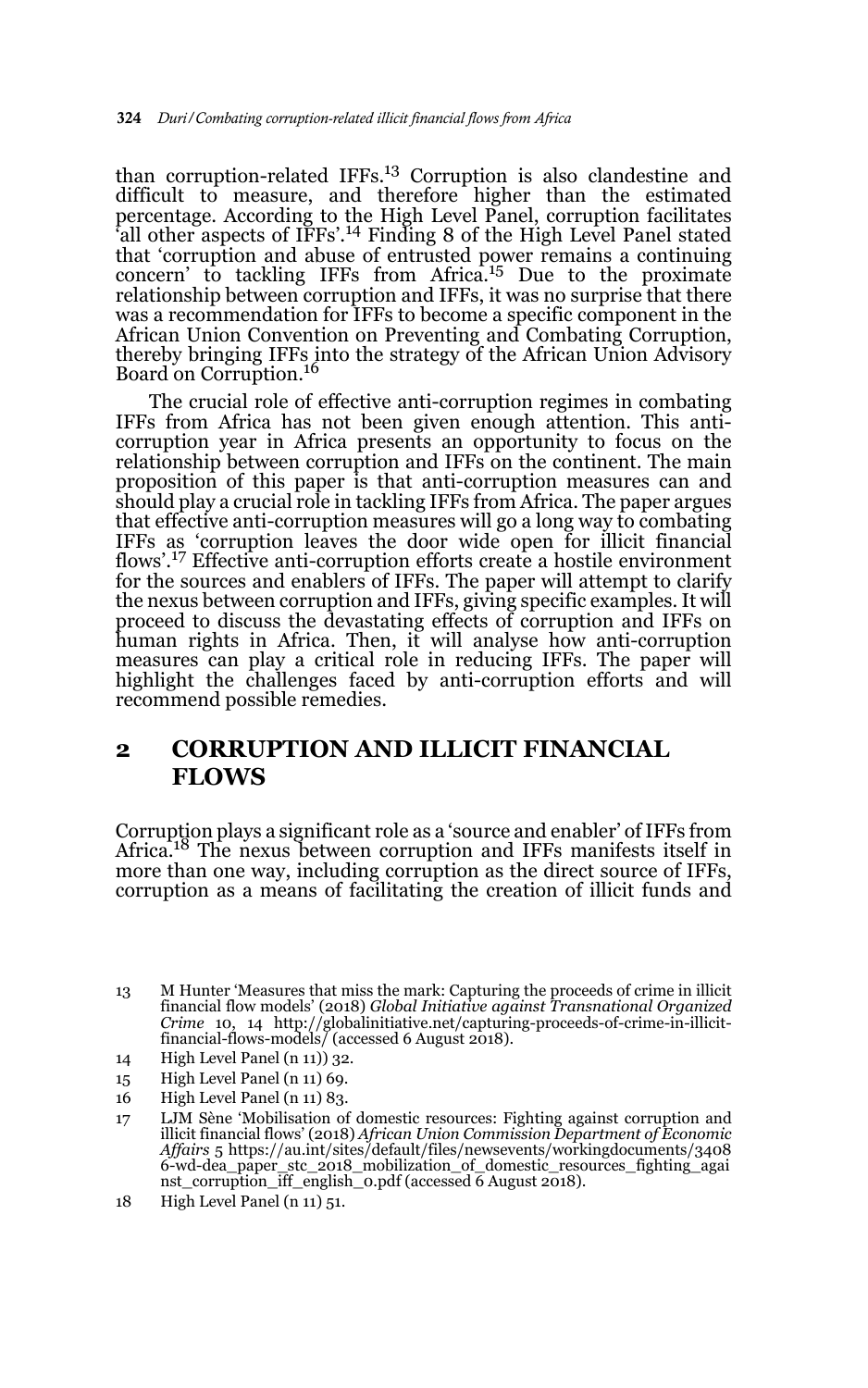than corruption-related IFFs.<sup>13</sup> Corruption is also clandestine and difficult to measure, and therefore higher than the estimated percentage. According to the High Level Panel, corruption facilitates 'all other aspects of IFFs'.14 Finding 8 of the High Level Panel stated that 'corruption and abuse of entrusted power remains a continuing concern' to tackling IFFs from Africa.<sup>15</sup> Due to the proximate relationship between corruption and IFFs, it was no surprise that there was a recommendation for IFFs to become a specific component in the African Union Convention on Preventing and Combating Corruption, thereby bringing IFFs into the strategy of the African Union Advisory Board on Corruption.<sup>16</sup>

The crucial role of effective anti-corruption regimes in combating IFFs from Africa has not been given enough attention. This anticorruption year in Africa presents an opportunity to focus on the relationship between corruption and IFFs on the continent. The main proposition of this paper is that anti-corruption measures can and should play a crucial role in tackling IFFs from Africa. The paper argues that effective anti-corruption measures will go a long way to combating IFFs as 'corruption leaves the door wide open for illicit financial flows'.<sup>17</sup> Effective anti-corruption efforts create a hostile environment for the sources and enablers of IFFs. The paper will attempt to clarify the nexus between corruption and IFFs, giving specific examples. It will proceed to discuss the devastating effects of corruption and IFFs on human rights in Africa. Then, it will analyse how anti-corruption measures can play a critical role in reducing IFFs. The paper will highlight the challenges faced by anti-corruption efforts and will recommend possible remedies.

# **2 CORRUPTION AND ILLICIT FINANCIAL FLOWS**

Corruption plays a significant role as a 'source and enabler' of IFFs from Africa.<sup>18</sup> The nexus between corruption and IFFs manifests itself in more than one way, including corruption as the direct source of IFFs, corruption as a means of facilitating the creation of illicit funds and

- 14 High Level Panel (n 11)) 32.
- 15 High Level Panel (n 11) 69.
- 16 High Level Panel (n 11) 83.

18 High Level Panel (n 11) 51.

<sup>13</sup> M Hunter 'Measures that miss the mark: Capturing the proceeds of crime in illicit financial flow models' (2018) *Global Initiative against Transnational Organized Crime* 10, 14 http://globalinitiative.net/capturing-proceeds-of-crime-in-illicit-financial-flows-models/ (accessed 6 August 2018).

<sup>17</sup> LJM Sène 'Mobilisation of domestic resources: Fighting against corruption and illicit financial flows' (2018) *African Union Commission Department of Economic Affairs* 5 https://au.int/sites/default/files/newsevents/workingdocuments/3408 6-wd-dea\_paper\_stc\_2018\_mobilization\_of\_domestic\_resources\_fighting\_agai nst\_corruption\_iff\_english\_0.pdf (accessed 6 August 2018).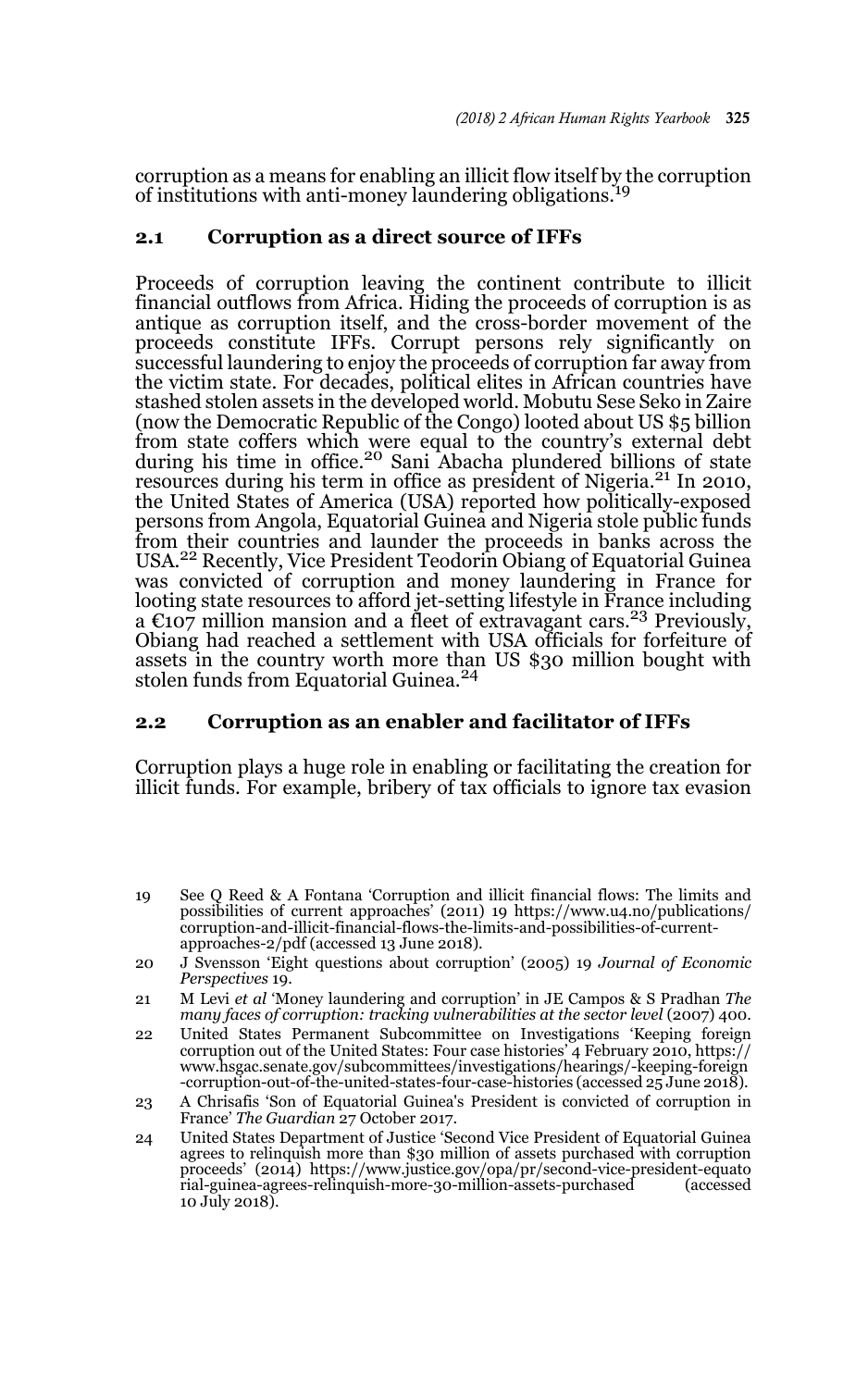corruption as a means for enabling an illicit flow itself by the corruption of institutions with anti-money laundering obligations.<sup>19</sup>

#### **2.1 Corruption as a direct source of IFFs**

Proceeds of corruption leaving the continent contribute to illicit financial outflows from Africa. Hiding the proceeds of corruption is as antique as corruption itself, and the cross-border movement of the proceeds constitute IFFs. Corrupt persons rely significantly on successful laundering to enjoy the proceeds of corruption far away from the victim state. For decades, political elites in African countries have stashed stolen assets in the developed world. Mobutu Sese Seko in Zaire (now the Democratic Republic of the Congo) looted about US \$5 billion from state coffers which were equal to the country's external debt<br>during his time in office.<sup>20</sup> Sani Abacha plundered billions of state resources during his term in office as president of Nigeria.<sup>21</sup> In 2010, the United States of America (USA) reported how politically-exposed persons from Angola, Equatorial Guinea and Nigeria stole public funds from their countries and launder the proceeds in banks across the USA.<sup>22</sup> Recently, Vice President Teodorin Obiang of Equatorial Guinea was convicted of corruption and money laundering in France for looting state resources to afford jet-setting lifestyle in France including a  $\epsilon$ 107 million mansion and a fleet of extravagant cars.<sup>23</sup> Previously, Obiang had reached a settlement with USA officials for forfeiture of assets in the country worth more than US \$30 million bought with stolen funds from Equatorial Guinea.<sup>24</sup>

### **2.2 Corruption as an enabler and facilitator of IFFs**

Corruption plays a huge role in enabling or facilitating the creation for illicit funds. For example, bribery of tax officials to ignore tax evasion

- 19 See Q Reed & A Fontana 'Corruption and illicit financial flows: The limits and possibilities of current approaches' (2011) 19 https://www.u4.no/publications/ corruption-and-illicit-financial-flows-the-limits-and-possibilities-of-currentapproaches-2/pdf (accessed 13 June 2018).
- 20 J Svensson 'Eight questions about corruption' (2005) 19 *Journal of Economic Perspectives* 19.
- 21 M Levi *et al* 'Money laundering and corruption' in JE Campos & S Pradhan *The* many faces of corruption: tracking vulnerabilities at the sector level (2007) 400.
- 22 United States Permanent Subcommittee on Investigations 'Keeping foreign corruption out of the United States: Four case histories' 4 February 2010, https:// www.hsgac.senate.gov/subcommittees/investigations/hearings/-keeping-foreign -corruption-out-of-the-united-states-four-case-histories (accessed 25 June 2018).
- 23 A Chrisafis 'Son of Equatorial Guinea's President is convicted of corruption in France' *The Guardian* 27 October 2017.
- 24 United States Department of Justice 'Second Vice President of Equatorial Guinea agrees to relinquish more than \$30 million of assets purchased with corruption proceeds' (2014) https://www.justice.gov/opa/pr/second-vice-president-equato rial-guinea-agrees-relinquish-more-30-million-assets-purchased (accessed 10 July 2018).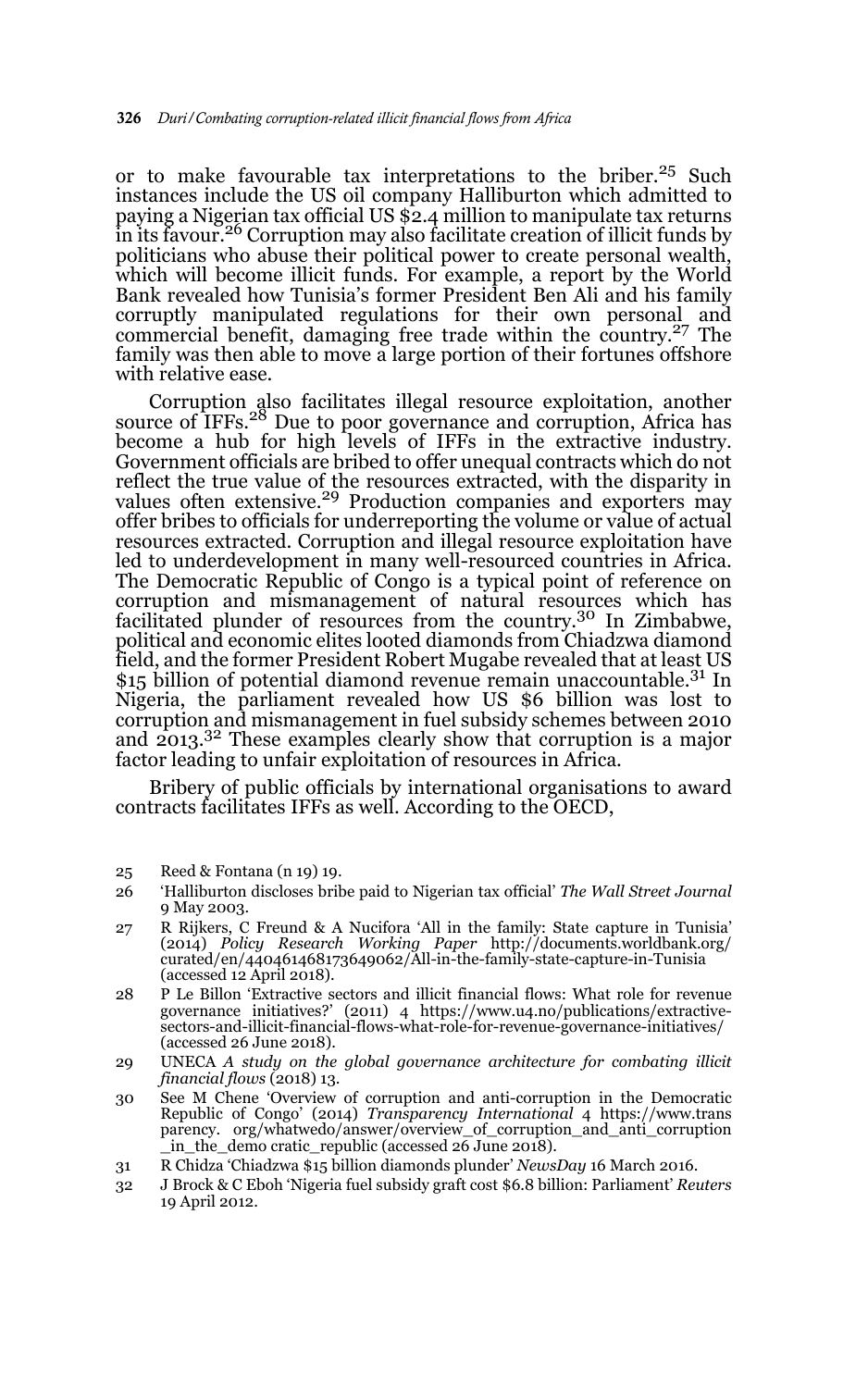or to make favourable tax interpretations to the briber.<sup>25</sup> Such instances include the US oil company Halliburton which admitted to paying a Nigerian tax official US \$2.4 million to manipulate tax returns in its favour.26 Corruption may also facilitate creation of illicit funds by politicians who abuse their political power to create personal wealth, which will become illicit funds. For example, a report by the World Bank revealed how Tunisia's former President Ben Ali and his family corruptly manipulated regulations for their own personal and commercial benefit, damaging free trade within the country.27 The family was then able to move a large portion of their fortunes offshore with relative ease.

Corruption also facilitates illegal resource exploitation, another source of IFFs.<sup>28</sup> Due to poor governance and corruption, Africa has become a hub for high levels of IFFs in the extractive industry. Government officials are bribed to offer unequal contracts which do not reflect the true value of the resources extracted, with the disparity in values often extensive.<sup>29</sup> Production companies and exporters may offer bribes to officials for underreporting the volume or value of actual resources extracted. Corruption and illegal resource exploitation have led to underdevelopment in many well-resourced countries in Africa. The Democratic Republic of Congo is a typical point of reference on corruption and mismanagement of natural resources which has facilitated plunder of resources from the country.30 In Zimbabwe, political and economic elites looted diamonds from Chiadzwa diamond field, and the former President Robert Mugabe revealed that at least US \$15 billion of potential diamond revenue remain unaccountable.<sup>31</sup> In Nigeria, the parliament revealed how US \$6 billion was lost to corruption and mismanagement in fuel subsidy schemes between 2010 and  $2013^{32}$  These examples clearly show that corruption is a major factor leading to unfair exploitation of resources in Africa.

Bribery of public officials by international organisations to award contracts facilitates IFFs as well. According to the OECD,

- 25 Reed & Fontana (n 19) 19.
- 26 'Halliburton discloses bribe paid to Nigerian tax official' *The Wall Street Journal* 9 May 2003.
- 27 R Rijkers, C Freund & A Nucifora 'All in the family: State capture in Tunisia' (2014) *Policy Research Working Paper* http://documents.worldbank.org/ curated/en/440461468173649062/All-in-the-family-state-capture-in-Tunisia (accessed 12 April 2018).
- 28 P Le Billon 'Extractive sectors and illicit financial flows: What role for revenue governance initiatives?' (2011) 4 https://www.u4.no/publications/extractivesectors-and-illicit-financial-flows-what-role-for-revenue-governance-initiatives/ (accessed 26 June 2018).
- 29 UNECA *A study on the global governance architecture for combating illicit financial flows* (2018) 13.
- 30 See M Chene 'Overview of corruption and anti-corruption in the Democratic Republic of Congo' (2014) *Transparency International* 4 https://www.trans parency. org/whatwedo/answer/overview\_of\_corruption\_and\_anti\_corruption \_in\_the\_demo cratic\_republic (accessed 26 June 2018).
- 31 R Chidza 'Chiadzwa \$15 billion diamonds plunder' *NewsDay* 16 March 2016.
- 32 J Brock & C Eboh 'Nigeria fuel subsidy graft cost \$6.8 billion: Parliament' *Reuters* 19 April 2012.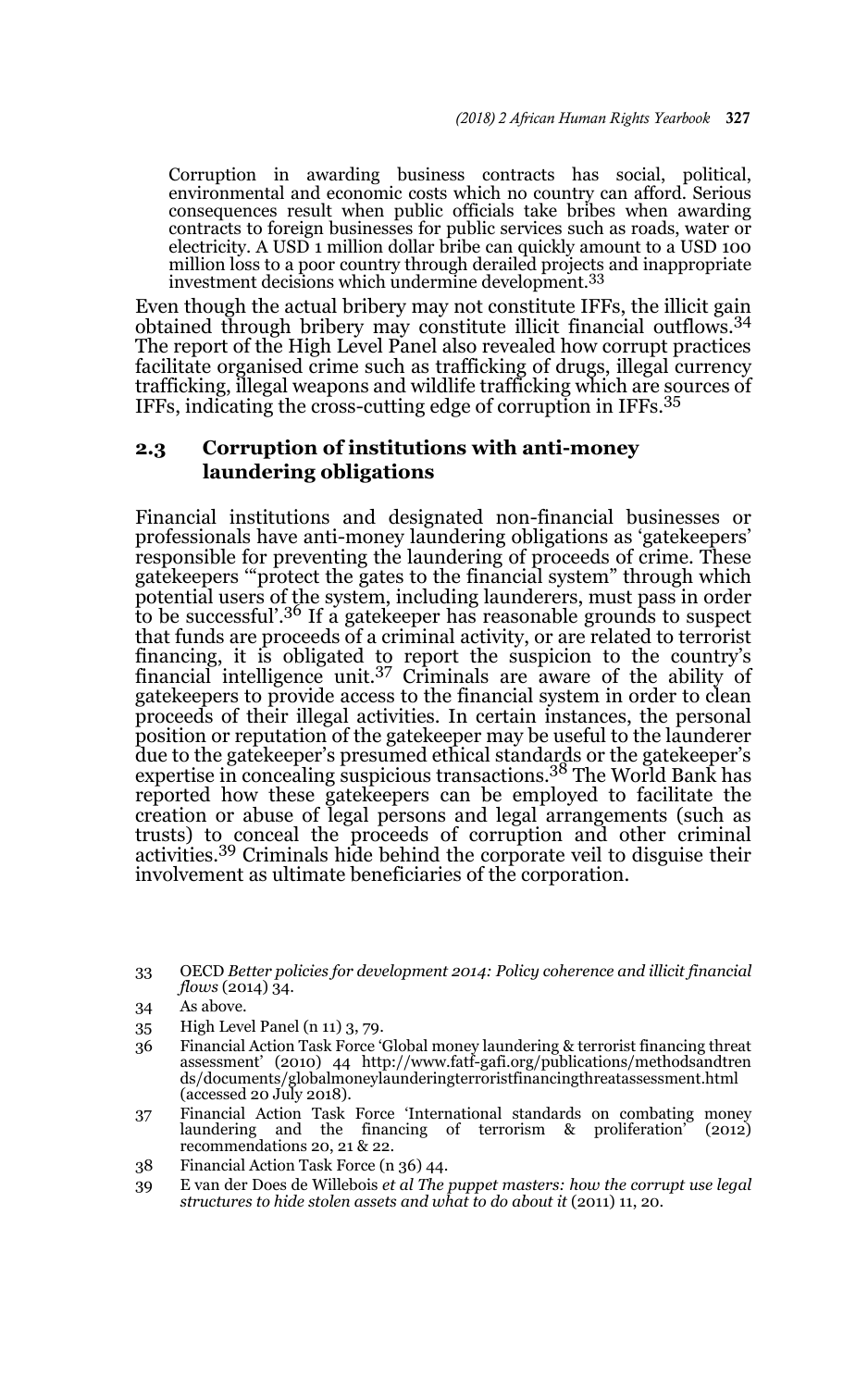Corruption in awarding business contracts has social, political, environmental and economic costs which no country can afford. Serious consequences result when public officials take bribes when awarding contracts to foreign businesses for public services such as roads, water or electricity. A USD 1 million dollar bribe can quickly amount to a USD 100 million loss to a poor country through derailed projects and inappropriate investment decisions which undermine development.<sup>33</sup>

Even though the actual bribery may not constitute IFFs, the illicit gain obtained through bribery may constitute illicit financial outflows.<sup>34</sup> The report of the High Level Panel also revealed how corrupt practices facilitate organised crime such as trafficking of drugs, illegal currency trafficking, illegal weapons and wildlife trafficking which are sources of IFFs, indicating the cross-cutting edge of corruption in IFFs.<sup>35</sup>

### **2.3 Corruption of institutions with anti-money laundering obligations**

Financial institutions and designated non-financial businesses or professionals have anti-money laundering obligations as 'gatekeepers' responsible for preventing the laundering of proceeds of crime. These gatekeepers '"protect the gates to the financial system" through which potential users of the system, including launderers, must pass in order to be successful'.<sup>36</sup> If a gatekeeper has reasonable grounds to suspect that funds are proceeds of a criminal activity, or are related to terrorist financing, it is obligated to report the suspicion to the country's financial intelligence unit.37 Criminals are aware of the ability of gatekeepers to provide access to the financial system in order to clean proceeds of their illegal activities. In certain instances, the personal position or reputation of the gatekeeper may be useful to the launderer due to the gatekeeper's presumed ethical standards or the gatekeeper's expertise in concealing suspicious transactions.38 The World Bank has reported how these gatekeepers can be employed to facilitate the creation or abuse of legal persons and legal arrangements (such as trusts) to conceal the proceeds of corruption and other criminal activities.39 Criminals hide behind the corporate veil to disguise their involvement as ultimate beneficiaries of the corporation.

- 35 High Level Panel (n 11) 3, 79.
- 36 Financial Action Task Force 'Global money laundering & terrorist financing threat assessment' (2010) 44 http://www.fatf-gafi.org/publications/methodsandtren ds/documents/globalmoneylaunderingterroristfinancingthreatassessment.html (accessed 20 July 2018).
- 37 Financial Action Task Force 'International standards on combating money laundering and the financing of terrorism & proliferation' (2012) recommendations 20, 21 & 22.
- 38 Financial Action Task Force (n 36) 44.
- 39 E van der Does de Willebois *et al The puppet masters: how the corrupt use legal structures to hide stolen assets and what to do about it* (2011) 11, 20.

<sup>33</sup> OECD *Better policies for development 2014: Policy coherence and illicit financial flows* (2014) 34.

<sup>34</sup> As above.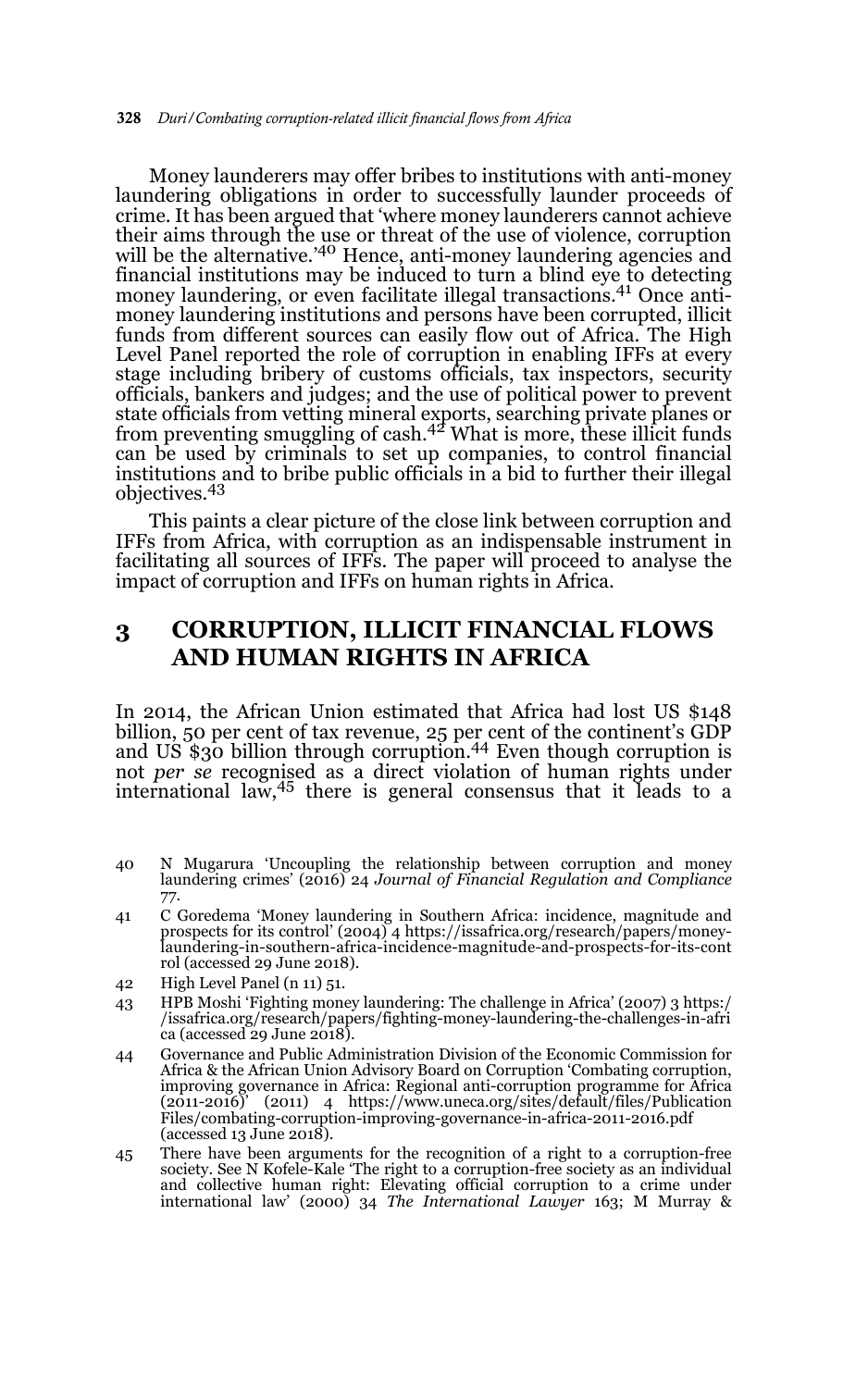Money launderers may offer bribes to institutions with anti-money laundering obligations in order to successfully launder proceeds of crime. It has been argued that 'where money launderers cannot achieve their aims through the use or threat of the use of violence, corruption will be the alternative.<sup>'40</sup> Hence, anti-money laundering agencies and financial institutions may be induced to turn a blind eye to detecting money laundering, or even facilitate illegal transactions.<sup>41</sup> Once antimoney laundering institutions and persons have been corrupted, illicit funds from different sources can easily flow out of Africa. The High Level Panel reported the role of corruption in enabling IFFs at every stage including bribery of customs officials, tax inspectors, security officials, bankers and judges; and the use of political power to prevent state officials from vetting mineral exports, searching private planes or<br>from preventing smuggling of cash.<sup>42</sup> What is more, these illicit funds can be used by criminals to set up companies, to control financial institutions and to bribe public officials in a bid to further their illegal objectives.43

This paints a clear picture of the close link between corruption and IFFs from Africa, with corruption as an indispensable instrument in facilitating all sources of IFFs. The paper will proceed to analyse the impact of corruption and IFFs on human rights in Africa.

# **3 CORRUPTION, ILLICIT FINANCIAL FLOWS AND HUMAN RIGHTS IN AFRICA**

In 2014, the African Union estimated that Africa had lost US \$148 billion, 50 per cent of tax revenue, 25 per cent of the continent's GDP and US \$30 billion through corruption.44 Even though corruption is not *per se* recognised as a direct violation of human rights under international law,45 there is general consensus that it leads to a

- 40 N Mugarura 'Uncoupling the relationship between corruption and money laundering crimes' (2016) 24 *Journal of Financial Regulation and Compliance* 77.
- 41 C Goredema 'Money laundering in Southern Africa: incidence, magnitude and prospects for its control' (2004) 4 https://issafrica.org/research/papers/moneylaundering-in-southern-africa-incidence-magnitude-and-prospects-for-its-cont rol (accessed 29 June 2018).
- 42 High Level Panel (n 11) 51.
- 43 HPB Moshi 'Fighting money laundering: The challenge in Africa' (2007) 3 https:/ /issafrica.org/research/papers/fighting-money-laundering-the-challenges-in-afri ca (accessed 29 June 2018).
- 44 Governance and Public Administration Division of the Economic Commission for Africa & the African Union Advisory Board on Corruption 'Combating corruption, improving governance in Africa: Regional anti-corruption programme for Africa (2011-2016)' (2011) 4 https://www.uneca.org/sites/default/files/Publication Files/combating-corruption-improving-governance-in-africa-2011-2016.pdf (accessed 13 June 2018).
- 45 There have been arguments for the recognition of a right to a corruption-free society. See N Kofele-Kale 'The right to a corruption-free society as an individual and collective human right: Elevating official corruption to a crime under international law' (2000) 34 *The International Lawyer* 163; M Murray &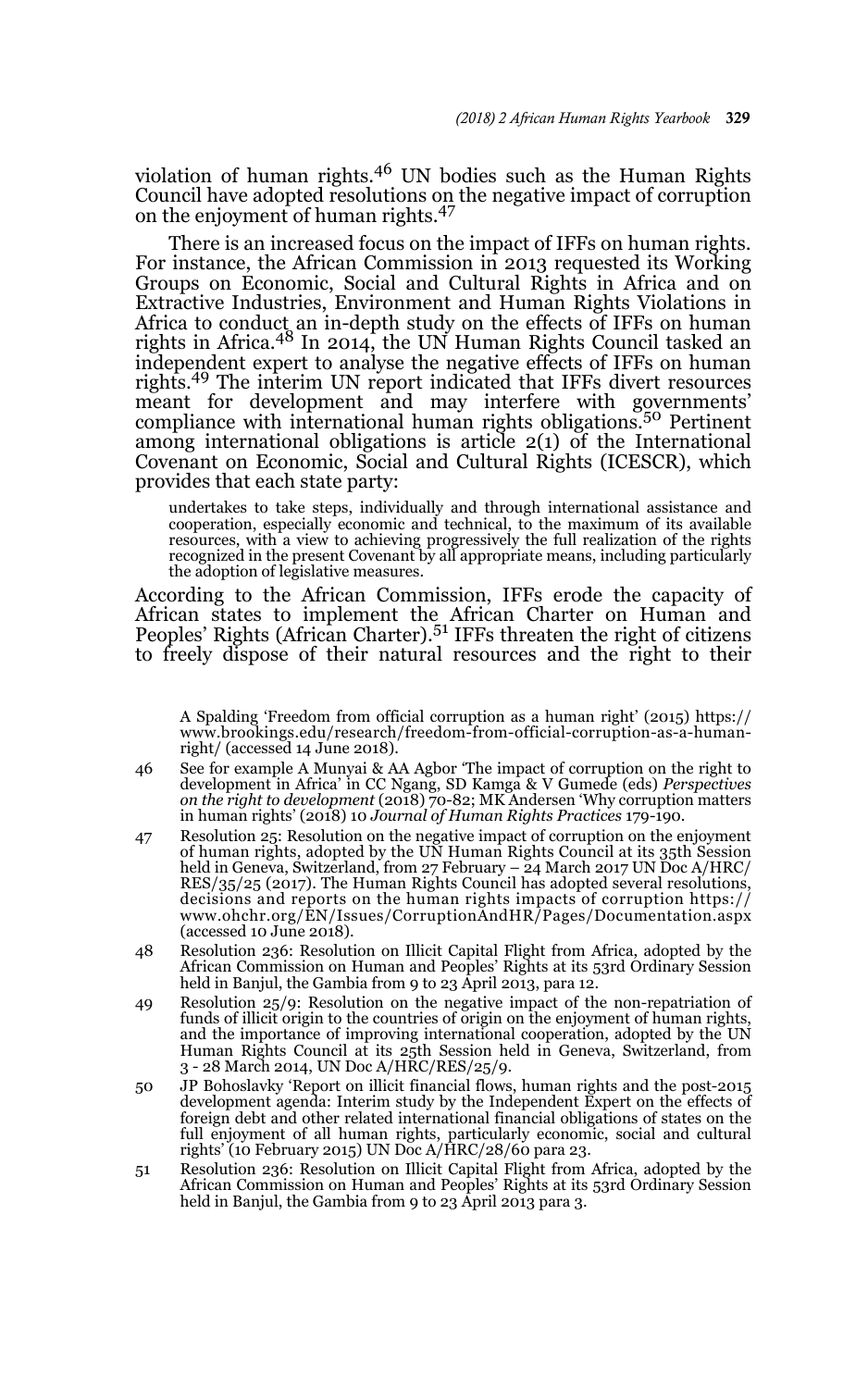violation of human rights.46 UN bodies such as the Human Rights Council have adopted resolutions on the negative impact of corruption on the enjoyment of human rights.<sup>47</sup>

There is an increased focus on the impact of IFFs on human rights. For instance, the African Commission in 2013 requested its Working Groups on Economic, Social and Cultural Rights in Africa and on Extractive Industries, Environment and Human Rights Violations in Africa to conduct an in-depth study on the effects of IFFs on human<br>rights in Africa.<sup>48</sup> In 2014, the UN Human Rights Council tasked an independent expert to analyse the negative effects of IFFs on human rights.49 The interim UN report indicated that IFFs divert resources meant for development and may interfere with governments'<br>compliance with international human rights obligations.<sup>50</sup> Pertinent among international obligations is article 2(1) of the International Covenant on Economic, Social and Cultural Rights (ICESCR), which provides that each state party:

undertakes to take steps, individually and through international assistance and cooperation, especially economic and technical, to the maximum of its available resources, with a view to achieving progressively the full realization of the rights recognized in the present Covenant by all appropriate means, including particularly the adoption of legislative measures.

According to the African Commission, IFFs erode the capacity of African states to implement the African Charter on Human and Peoples' Rights (African Charter).<sup>51</sup> IFFs threaten the right of citizens to freely dispose of their natural resources and the right to their

45 A Spalding 'Freedom from official corruption as a human right' (2015) https:// www.brookings.edu/research/freedom-from-official-corruption-as-a-humanright/ (accessed 14 June 2018).

- 46 See for example A Munyai & AA Agbor 'The impact of corruption on the right to development in Africa' in CC Ngang, SD Kamga & V Gumede (eds) *Perspectives on the right to development* (2018) 70-82; MK Andersen 'Why corruption matters in human rights' (2018) 10 *Journal of Human Rights Practices* 179-190.
- 47 Resolution 25: Resolution on the negative impact of corruption on the enjoyment of human rights, adopted by the UN Human Rights Council at its 35th Session held in Geneva, Switzerland, from 27 February – 24 March 2017 UN Doc A/HRC/ RES/35/25 (2017). The Human Rights Council has adopted several resolutions, decisions and reports on the human rights impacts of corruption https:// www.ohchr.org/EN/Issues/CorruptionAndHR/Pages/Documentation.aspx  $(\text{accessed 10 June 2018}).$
- 48 Resolution 236: Resolution on Illicit Capital Flight from Africa, adopted by the African Commission on Human and Peoples' Rights at its 53rd Ordinary Session held in Banjul, the Gambia from 9 to 23 April 2013, para 12.
- 49 Resolution 25/9: Resolution on the negative impact of the non-repatriation of funds of illicit origin to the countries of origin on the enjoyment of human rights, and the importance of improving international cooperation, adopted by the UN Human Rights Council at its 25th Session held in Geneva, Switzerland, from 3 - 28 March 2014, UN Doc A/HRC/RES/25/9.
- 50 JP Bohoslavky 'Report on illicit financial flows, human rights and the post-2015 development agenda: Interim study by the Independent Expert on the effects of foreign debt and other related international financial obligations of states on the full enjoyment of all human rights, particularly economic, social and cultural rights' (10 February 2015) UN Doc A/HRC/28/60 para 23.
- 51 Resolution 236: Resolution on Illicit Capital Flight from Africa, adopted by the African Commission on Human and Peoples' Rights at its 53rd Ordinary Session held in Banjul, the Gambia from 9 to 23 April 2013 para 3.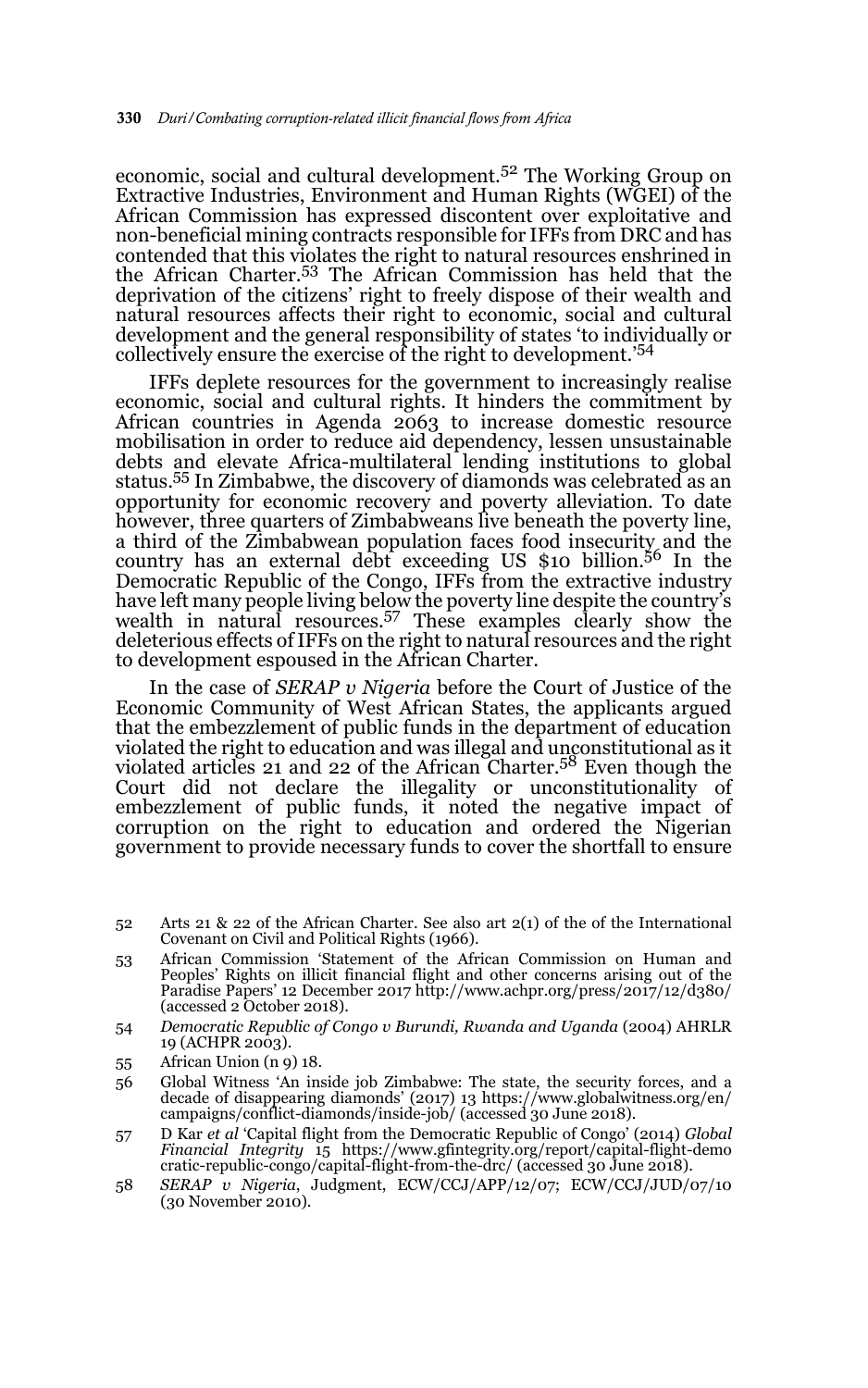economic, social and cultural development.<sup>52</sup> The Working Group on Extractive Industries, Environment and Human Rights (WGEI) of the African Commission has expressed discontent over exploitative and non-beneficial mining contracts responsible for IFFs from DRC and has contended that this violates the right to natural resources enshrined in the African Charter.53 The African Commission has held that the deprivation of the citizens' right to freely dispose of their wealth and natural resources affects their right to economic, social and cultural development and the general responsibility of states 'to individually or collectively ensure the exercise of the right to development.'<sup>54</sup>

IFFs deplete resources for the government to increasingly realise economic, social and cultural rights. It hinders the commitment by African countries in Agenda 2063 to increase domestic resource mobilisation in order to reduce aid dependency, lessen unsustainable debts and elevate Africa-multilateral lending institutions to global status.55 In Zimbabwe, the discovery of diamonds was celebrated as an opportunity for economic recovery and poverty alleviation. To date however, three quarters of Zimbabweans live beneath the poverty line, a third of the Zimbabwean population faces food insecurity and the country has an external debt exceeding US \$10 billion.<sup>56</sup> In the Democratic Republic of the Congo, IFFs from the extractive industry have left many people living below the poverty line despite the country's wealth in natural resources.57 These examples clearly show the deleterious effects of IFFs on the right to natural resources and the right to development espoused in the African Charter.

In the case of *SERAP v Nigeria* before the Court of Justice of the Economic Community of West African States, the applicants argued that the embezzlement of public funds in the department of education violated the right to education and was illegal and unconstitutional as it violated articles 21 and 22 of the African Charter.<sup>58</sup> Even though the Court did not declare the illegality or unconstitutionality of embezzlement of public funds, it noted the negative impact of corruption on the right to education and ordered the Nigerian government to provide necessary funds to cover the shortfall to ensure

- 52 Arts 21 & 22 of the African Charter. See also art  $2(1)$  of the of the International Covenant on Civil and Political Rights (1966).
- 53 African Commission 'Statement of the African Commission on Human and Peoples' Rights on illicit financial flight and other concerns arising out of the Paradise Papers' 12 December 2017 http://www.achpr.org/press/2017/12/d380/ (accessed 2 October 2018).
- 54 *Democratic Republic of Congo v Burundi, Rwanda and Uganda* (2004) AHRLR 19 (ACHPR 2003).
- 55 African Union (n 9) 18.
- 56 Global Witness 'An inside job Zimbabwe: The state, the security forces, and a decade of disappearing diamonds' (2017) 13 https://www.globalwitness.org/en/ campaigns/conflict-diamonds/inside-job/ (accessed 30 June 2018).
- 57 D Kar *et al* 'Capital flight from the Democratic Republic of Congo' (2014) *Global Financial Integrity* 15 https://www.gfintegrity.org/report/capital-flight-demo cratic-republic-congo/capital-flight-from-the-drc/ (accessed 30 June 2018).
- 58 *SERAP v Nigeria*, Judgment, ECW/CCJ/APP/12/07; ECW/CCJ/JUD/07/10 (30 November 2010).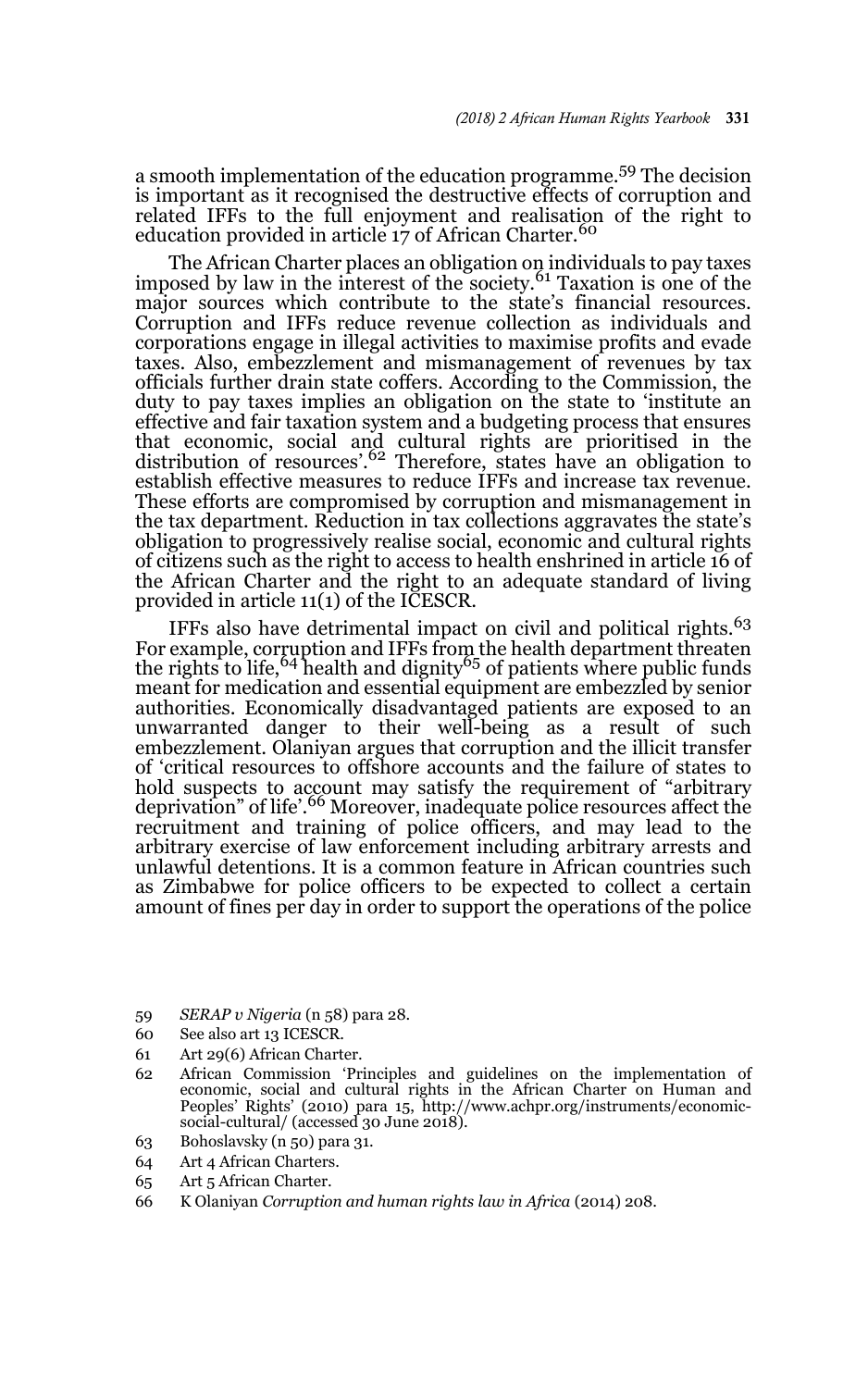a smooth implementation of the education programme.<sup>59</sup> The decision is important as it recognised the destructive effects of corruption and related IFFs to the full enjoyment and realisation of the right to education provided in article 17 of African Charter.<sup>60</sup>

The African Charter places an obligation on individuals to pay taxes imposed by law in the interest of the society.<sup>61</sup> Taxation is one of the major sources which contribute to the state's financial resources. Corruption and IFFs reduce revenue collection as individuals and corporations engage in illegal activities to maximise profits and evade taxes. Also, embezzlement and mismanagement of revenues by tax officials further drain state coffers. According to the Commission, the duty to pay taxes implies an obligation on the state to 'institute an effective and fair taxation system and a budgeting process that ensures that economic, social and cultural rights are prioritised in the distribution of resources'.<sup>62</sup> Therefore, states have an obligation to establish effective measures to reduce IFFs and increase tax revenue. These efforts are compromised by corruption and mismanagement in the tax department. Reduction in tax collections aggravates the state's obligation to progressively realise social, economic and cultural rights of citizens such as the right to access to health enshrined in article 16 of the African Charter and the right to an adequate standard of living provided in article 11(1) of the ICESCR.

IFFs also have detrimental impact on civil and political rights.<sup>63</sup> For example, corruption and IFFs from the health department threaten the rights to life,<sup>64</sup> health and dignity<sup>65</sup> of patients where public funds meant for medication and essential equipment are embezzled by senior authorities. Economically disadvantaged patients are exposed to an unwarranted danger to their well-being as a result of such embezzlement. Olaniyan argues that corruption and the illicit transfer of 'critical resources to offshore accounts and the failure of states to hold suspects to account may satisfy the requirement of "arbitrary<br>deprivation" of life'.<sup>66</sup> Moreover, inadequate police resources affect the recruitment and training of police officers, and may lead to the arbitrary exercise of law enforcement including arbitrary arrests and unlawful detentions. It is a common feature in African countries such as Zimbabwe for police officers to be expected to collect a certain amount of fines per day in order to support the operations of the police

- 59 *SERAP v Nigeria* (n 58) para 28.
- 60 See also art 13 ICESCR.
- 61 Art 29(6) African Charter.
- 62 African Commission 'Principles and guidelines on the implementation of economic, social and cultural rights in the African Charter on Human and Peoples' Rights' (2010) para 15, http://www.achpr.org/instruments/economic-social-cultural/ (accessed 30 June 2018).
- 63 Bohoslavsky (n 50) para 31.
- 64 Art 4 African Charters.
- 65 Art 5 African Charter.
- 66 K Olaniyan *Corruption and human rights law in Africa* (2014) 208.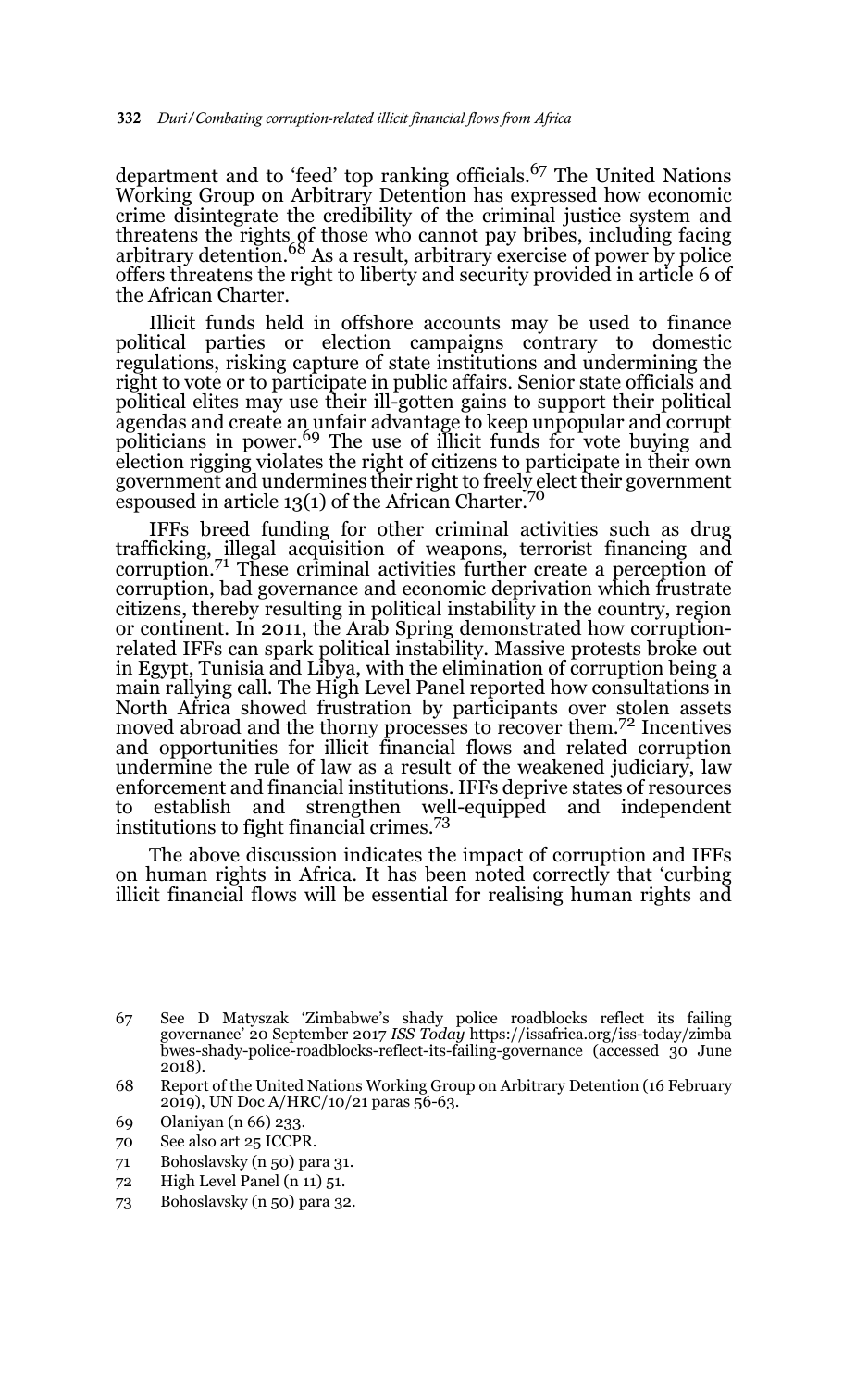department and to 'feed' top ranking officials.<sup>67</sup> The United Nations Working Group on Arbitrary Detention has expressed how economic crime disintegrate the credibility of the criminal justice system and threatens the rights of those who cannot pay bribes, including facing<br>arbitrary detention.<sup>68</sup> As a result, arbitrary exercise of power by police offers threatens the right to liberty and security provided in article 6 of the African Charter.

Illicit funds held in offshore accounts may be used to finance political parties or election campaigns contrary to domestic regulations, risking capture of state institutions and undermining the right to vote or to participate in public affairs. Senior state officials and political elites may use their ill-gotten gains to support their political agendas and create an unfair advantage to keep unpopular and corrupt politicians in power.<sup>69</sup> The use of illicit funds for vote buying and election rigging violates the right of citizens to participate in their own government and undermines their right to freely elect their government espoused in article  $13(1)$  of the African Charter.<sup>70</sup>

IFFs breed funding for other criminal activities such as drug trafficking, illegal acquisition of weapons, terrorist financing and corruption.71 These criminal activities further create a perception of corruption, bad governance and economic deprivation which frustrate citizens, thereby resulting in political instability in the country, region or continent. In 2011, the Arab Spring demonstrated how corruptionrelated IFFs can spark political instability. Massive protests broke out in Egypt, Tunisia and Libya, with the elimination of corruption being a main rallying call. The High Level Panel reported how consultations in North Africa showed frustration by participants over stolen assets moved abroad and the thorny processes to recover them.72 Incentives and opportunities for illicit financial flows and related corruption undermine the rule of law as a result of the weakened judiciary, law enforcement and financial institutions. IFFs deprive states of resources<br>to establish and strengthen well-equipped and independent to establish and strengthen well-equipped and independent institutions to fight financial crimes.<sup>73</sup>

The above discussion indicates the impact of corruption and IFFs on human rights in Africa. It has been noted correctly that 'curbing illicit financial flows will be essential for realising human rights and

- 71 Bohoslavsky (n 50) para 31.
- 72 High Level Panel (n 11) 51.
- 73 Bohoslavsky (n 50) para 32.

<sup>67</sup> See D Matyszak 'Zimbabwe's shady police roadblocks reflect its failing governance' 20 September 2017 *ISS Today* https://issafrica.org/iss-today/zimba bwes-shady-police-roadblocks-reflect-its-failing-governance (accessed 30 June 2018).

<sup>68</sup> Report of the United Nations Working Group on Arbitrary Detention (16 February 2019), UN Doc A/HRC/10/21 paras 56-63.

<sup>69</sup> Olaniyan (n 66) 233.

<sup>70</sup> See also art 25 ICCPR.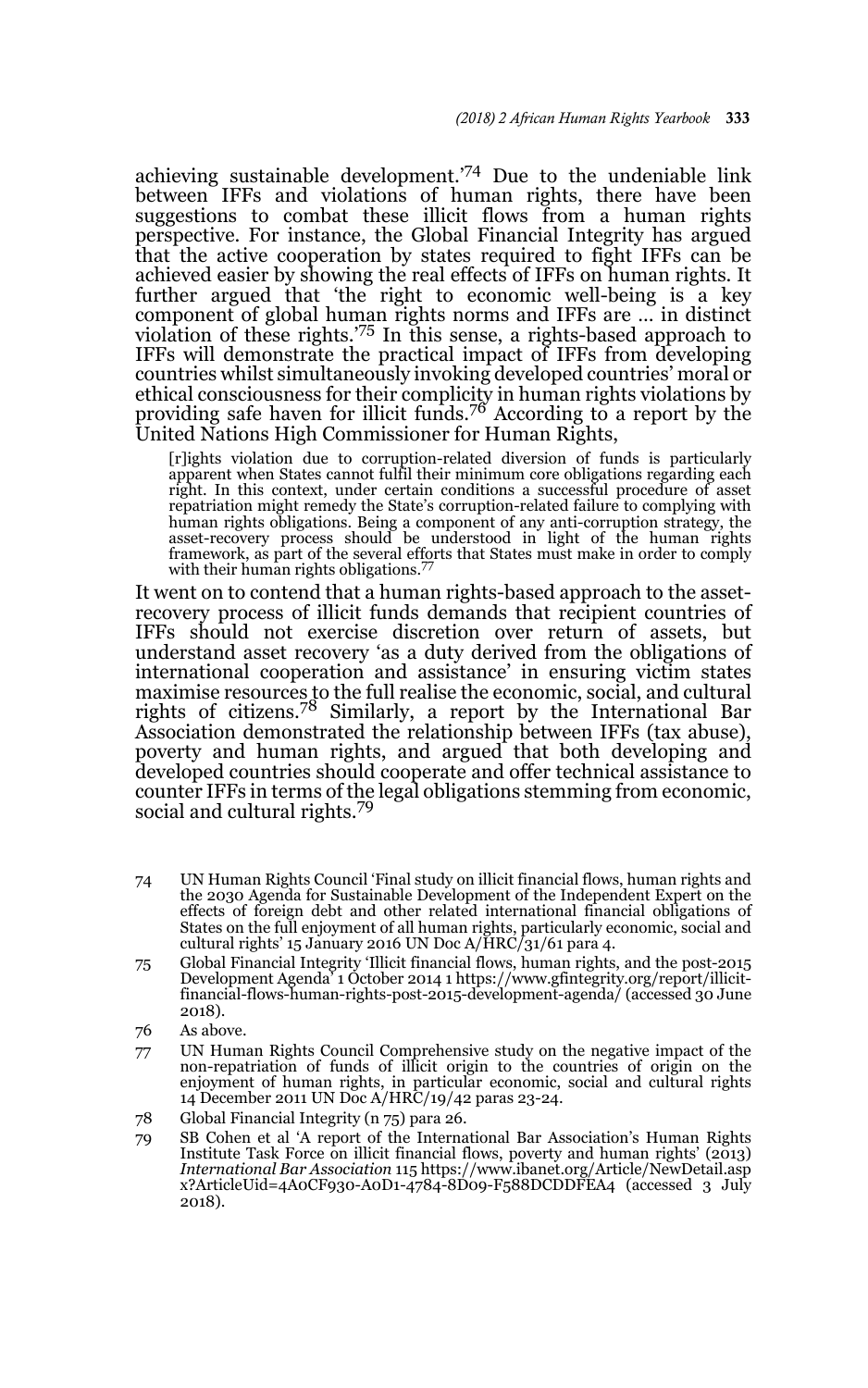achieving sustainable development.'74 Due to the undeniable link between IFFs and violations of human rights, there have been suggestions to combat these illicit flows from a human rights perspective. For instance, the Global Financial Integrity has argued that the active cooperation by states required to fight IFFs can be achieved easier by showing the real effects of IFFs on human rights. It further argued that 'the right to economic well-being is a key component of global human rights norms and IFFs are … in distinct violation of these rights.<sup>775</sup> In this sense, a rights-based approach to IFFs will demonstrate the practical impact of IFFs from developing countries whilst simultaneously invoking developed countries' moral or ethical consciousness for their complicity in human rights violations by providing safe haven for illicit funds.76 According to a report by the United Nations High Commissioner for Human Rights,

[r]ights violation due to corruption-related diversion of funds is particularly apparent when States cannot fulfil their minimum core obligations regarding each right. In this context, under certain conditions a successful procedure of asset repatriation might remedy the State's corruption-related failure to complying with human rights obligations. Being a component of any anti-corruption strategy, the<br>asset-recovery process should be understood in light of the human rights<br>framework, as part of the several efforts that States must make in o with their human rights obligations.<sup>77</sup>

It went on to contend that a human rights-based approach to the assetrecovery process of illicit funds demands that recipient countries of IFFs should not exercise discretion over return of assets, but understand asset recovery 'as a duty derived from the obligations of international cooperation and assistance' in ensuring victim states maximise resources to the full realise the economic, social, and cultural rights of citizens.78 Similarly, a report by the International Bar Association demonstrated the relationship between IFFs (tax abuse), poverty and human rights, and argued that both developing and developed countries should cooperate and offer technical assistance to counter IFFs in terms of the legal obligations stemming from economic, social and cultural rights.<sup>79</sup>

- 74 UN Human Rights Council 'Final study on illicit financial flows, human rights and the 2030 Agenda for Sustainable Development of the Independent Expert on the effects of foreign debt and other related international financial obligations of States on the full enjoyment of all human rights, particularly economic, social and cultural rights' 15 January 2016 UN Doc A/HRC/31/61 para 4.
- 75 Global Financial Integrity 'Illicit financial flows, human rights, and the post-2015 Development Agenda' 1 October 2014 1 https://www.gfintegrity.org/report/illicitfinancial-flows-human-rights-post-2015-development-agenda/ (accessed 30 June 2018).
- 76 As above.
- 77 UN Human Rights Council Comprehensive study on the negative impact of the non-repatriation of funds of illicit origin to the countries of origin on the enjoyment of human rights, in particular economic, social and cultural rights 14 December 2011 UN Doc A/HRC/19/42 paras 23-24.
- 78 Global Financial Integrity (n 75) para 26.
- 79 SB Cohen et al 'A report of the International Bar Association's Human Rights Institute Task Force on illicit financial flows, poverty and human rights' (2013) *International Bar Association* 115 https://www.ibanet.org/Article/NewDetail.asp x?ArticleUid=4A0CF930-A0D1-4784-8D09-F588DCDDFEA4 (accessed 3 July 2018).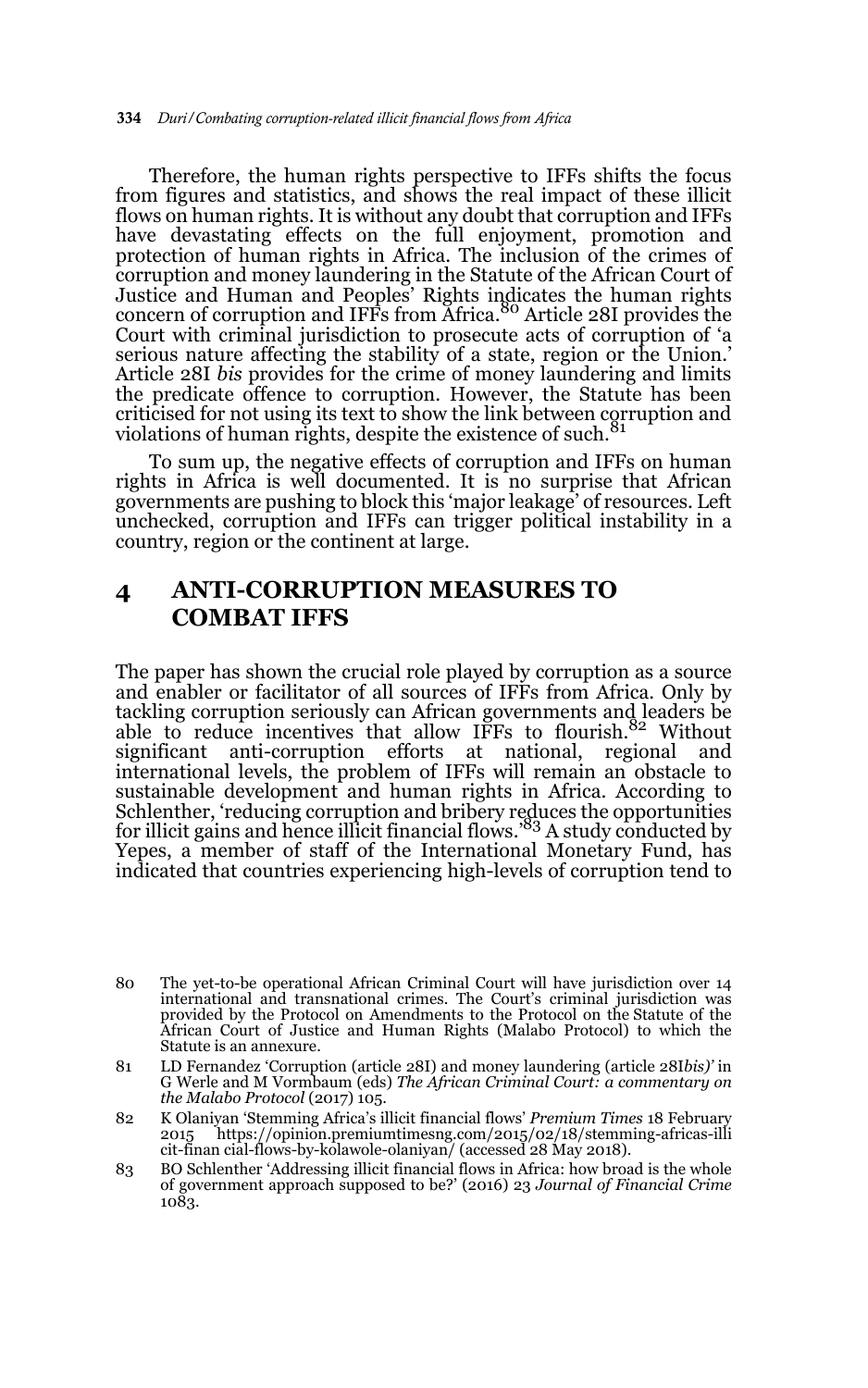Therefore, the human rights perspective to IFFs shifts the focus from figures and statistics, and shows the real impact of these illicit flows on human rights. It is without any doubt that corruption and IFFs have devastating effects on the full enjoyment, promotion and protection of human rights in Africa. The inclusion of the crimes of corruption and money laundering in the Statute of the African Court of Justice and Human and Peoples' Rights indicates the human rights<br>concern of corruption and IFFs from Africa.<sup>80</sup> Article 28I provides the Court with criminal jurisdiction to prosecute acts of corruption of 'a serious nature affecting the stability of a state, region or the Union.' Article 28I *bis* provides for the crime of money laundering and limits the predicate offence to corruption. However, the Statute has been criticised for not using its text to show the link between corruption and<br>violations of human rights, despite the existence of such.<sup>81</sup>

To sum up, the negative effects of corruption and IFFs on human rights in Africa is well documented. It is no surprise that African governments are pushing to block this 'major leakage' of resources. Left unchecked, corruption and IFFs can trigger political instability in a country, region or the continent at large.

# **4 ANTI-CORRUPTION MEASURES TO COMBAT IFFS**

The paper has shown the crucial role played by corruption as a source and enabler or facilitator of all sources of IFFs from Africa. Only by tackling corruption seriously can African governments and leaders be able to reduce incentives that allow IFFs to flourish.82 Without significant anti-corruption efforts at national, regional and international levels, the problem of IFFs will remain an obstacle to sustainable development and human rights in Africa. According to Schlenther, 'reducing corruption and bribery reduces the opportunities for illicit gains and hence illicit financial flows.<sup>'83</sup> A study conducted by Yepes, a member of staff of the International Monetary Fund, has indicated that countries experiencing high-levels of corruption tend to

<sup>80</sup> The yet-to-be operational African Criminal Court will have jurisdiction over 14 international and transnational crimes. The Court's criminal jurisdiction was provided by the Protocol on Amendments to the Protocol on the Statute of the African Court of Justice and Human Rights (Malabo Protocol) to which the Statute is an annexure.

<sup>81</sup> LD Fernandez 'Corruption (article 28I) and money laundering (article 28I*bis)'* in G Werle and M Vormbaum (eds) *The African Criminal Court: a commentary on the Malabo Protocol* (2017) 105.

<sup>82</sup> K Olaniyan 'Stemming Africa's illicit financial flows' *Premium Times* 18 February 2015 https://opinion.premiumtimesng.com/2015/02/18/stemming-africas-illi cit-finan cial-flows-by-kolawole-olaniyan/ (accessed 28 May 2018).

<sup>83</sup> BO Schlenther 'Addressing illicit financial flows in Africa: how broad is the whole of government approach supposed to be?' (2016) 23 *Journal of Financial Crime* 1083.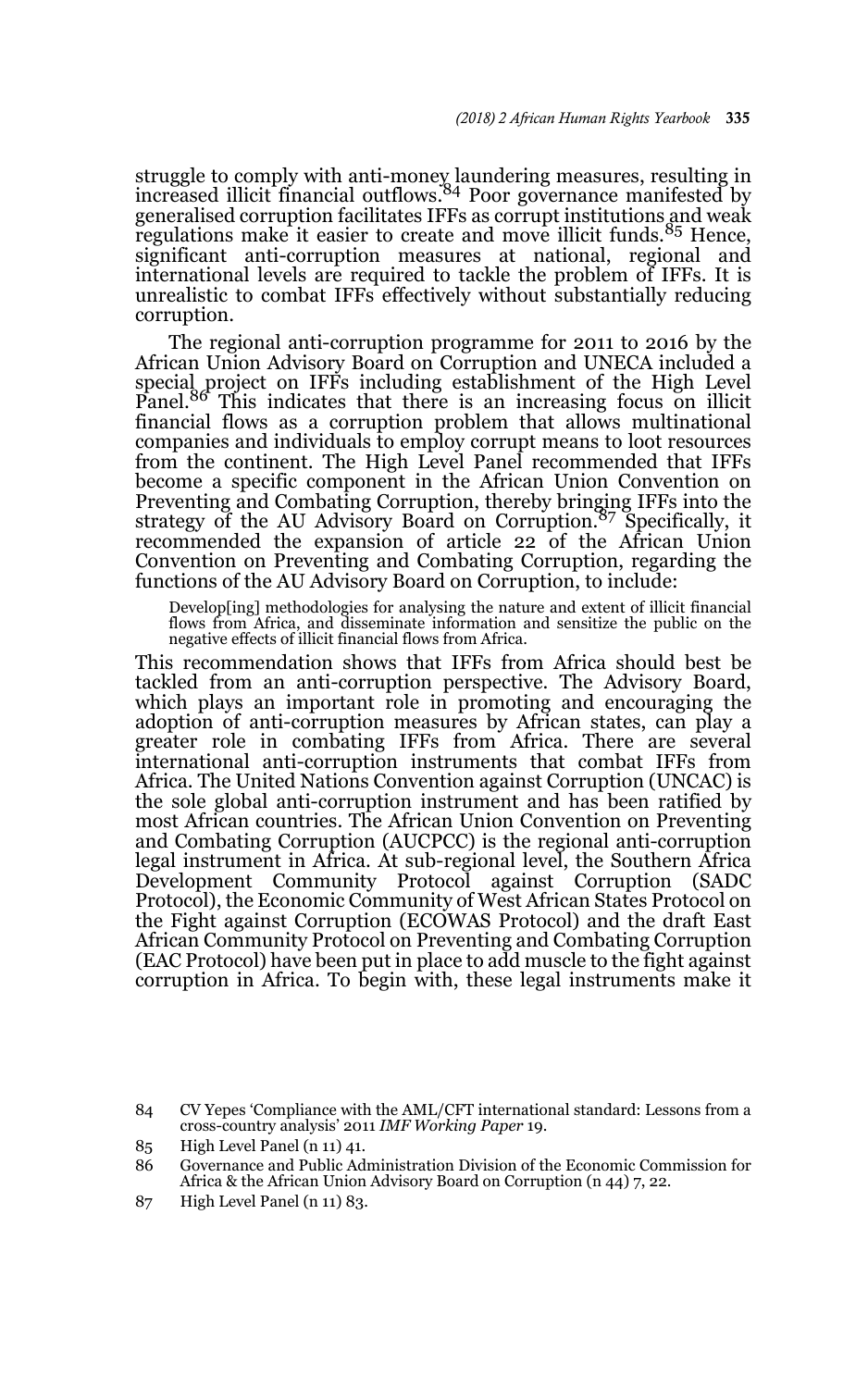struggle to comply with anti-money laundering measures, resulting in<br>increased illicit financial outflows.<sup>84</sup> Poor governance manifested by generalised corruption facilitates IFFs as corrupt institutions and weak regulations make it easier to create and move illicit funds.<sup>85</sup> Hence, significant anti-corruption measures at national, regional and international levels are required to tackle the problem of IFFs. It is unrealistic to combat IFFs effectively without substantially reducing corruption.

The regional anti-corruption programme for 2011 to 2016 by the African Union Advisory Board on Corruption and UNECA included a special project on IFFs including establishment of the High Level<br>Panel.<sup>86</sup> This indicates that there is an increasing focus on illicit financial flows as a corruption problem that allows multinational companies and individuals to employ corrupt means to loot resources from the continent. The High Level Panel recommended that IFFs become a specific component in the African Union Convention on Preventing and Combating Corruption, thereby bringing IFFs into the strategy of the AU Advisory Board on Corruption.<sup>87</sup> Specifically, it recommended the expansion of article 22 of the African Union Convention on Preventing and Combating Corruption, regarding the functions of the AU Advisory Board on Corruption, to include:

Develop[ing] methodologies for analysing the nature and extent of illicit financial flows from Africa, and disseminate information and sensitize the public on the negative effects of illicit financial flows from Africa.

This recommendation shows that IFFs from Africa should best be tackled from an anti-corruption perspective. The Advisory Board, which plays an important role in promoting and encouraging the adoption of anti-corruption measures by African states, can play a greater role in combating IFFs from Africa. There are several international anti-corruption instruments that combat IFFs from Africa. The United Nations Convention against Corruption (UNCAC) is the sole global anti-corruption instrument and has been ratified by most African countries. The African Union Convention on Preventing and Combating Corruption (AUCPCC) is the regional anti-corruption legal instrument in Africa. At sub-regional level, the Southern Africa Development Community Protocol against Corruption (SADC Protocol), the Economic Community of West African States Protocol on the Fight against Corruption (ECOWAS Protocol) and the draft East African Community Protocol on Preventing and Combating Corruption (EAC Protocol) have been put in place to add muscle to the fight against corruption in Africa. To begin with, these legal instruments make it

87 High Level Panel (n 11) 83.

<sup>84</sup> CV Yepes 'Compliance with the AML/CFT international standard: Lessons from a cross-country analysis' 2011 *IMF Working Paper* 19.

<sup>85</sup> High Level Panel (n 11) 41.

<sup>86</sup> Governance and Public Administration Division of the Economic Commission for Africa & the African Union Advisory Board on Corruption (n 44) 7, 22.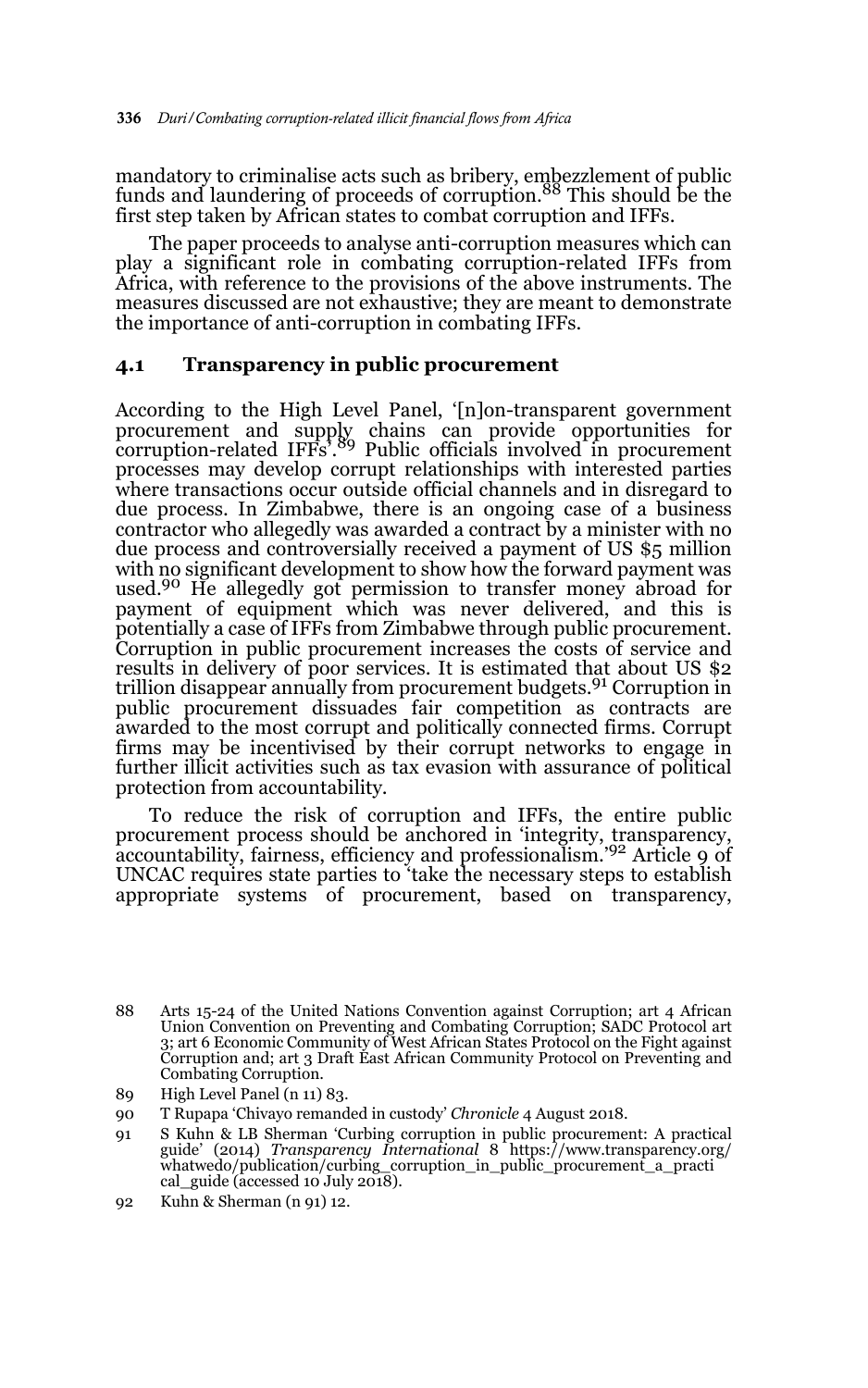mandatory to criminalise acts such as bribery, embezzlement of public funds and laundering of proceeds of corruption.88 This should be the first step taken by African states to combat corruption and IFFs.

The paper proceeds to analyse anti-corruption measures which can play a significant role in combating corruption-related IFFs from Africa, with reference to the provisions of the above instruments. The measures discussed are not exhaustive; they are meant to demonstrate the importance of anti-corruption in combating IFFs.

### **4.1 Transparency in public procurement**

According to the High Level Panel, '[n]on-transparent government procurement and supply chains can provide opportunities for corruption-related IFFs'.89 Public officials involved in procurement processes may develop corrupt relationships with interested parties where transactions occur outside official channels and in disregard to due process. In Zimbabwe, there is an ongoing case of a business contractor who allegedly was awarded a contract by a minister with no due process and controversially received a payment of US \$5 million with no significant development to show how the forward payment was used.90 He allegedly got permission to transfer money abroad for payment of equipment which was never delivered, and this is potentially a case of IFFs from Zimbabwe through public procurement. Corruption in public procurement increases the costs of service and results in delivery of poor services. It is estimated that about US \$2 trillion disappear annually from procurement budgets.<sup>91</sup> Corruption in public procurement dissuades fair competition as contracts are awarded to the most corrupt and politically connected firms. Corrupt firms may be incentivised by their corrupt networks to engage in further illicit activities such as tax evasion with assurance of political protection from accountability.

To reduce the risk of corruption and IFFs, the entire public procurement process should be anchored in 'integrity, transparency, accountability, fairness, efficiency and professionalism.'92 Article 9 of UNCAC requires state parties to 'take the necessary steps to establish appropriate systems of procurement, based on transparency,

- 89 High Level Panel (n 11) 83.
- 90 T Rupapa 'Chivayo remanded in custody' *Chronicle* 4 August 2018.
- 91 S Kuhn & LB Sherman 'Curbing corruption in public procurement: A practical guide' (2014) *Transparency International* 8 https://www.transparency.org/ whatwedo/publication/curbing\_corruption\_in\_public\_procurement\_a\_practi cal\_guide (accessed 10 July 2018).
- 92 Kuhn & Sherman (n 91) 12.

<sup>88</sup> Arts 15-24 of the United Nations Convention against Corruption; art 4 African Union Convention on Preventing and Combating Corruption; SADC Protocol art 3; art 6 Economic Community of West African States Protocol on the Fight against Corruption and; art 3 Draft East African Community Protocol on Preventing and Combating Corruption.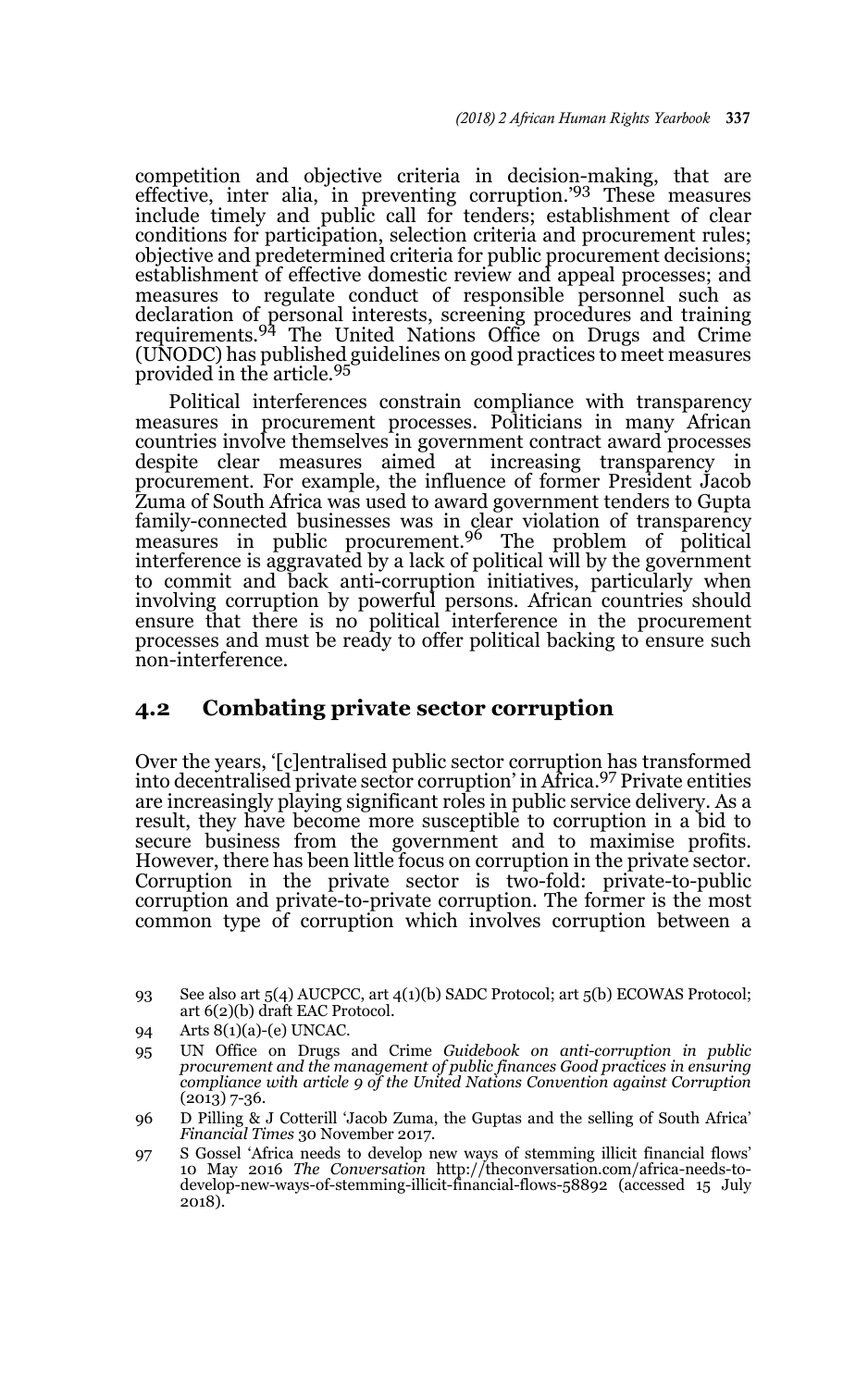competition and objective criteria in decision-making, that are effective, inter alia, in preventing corruption.<sup>'93</sup> These measures include timely and public call for tenders; establishment of clear conditions for participation, selection criteria and procurement rules; objective and predetermined criteria for public procurement decisions; establishment of effective domestic review and appeal processes; and measures to regulate conduct of responsible personnel such as declaration of personal interests, screening procedures and training<br>requirements.<sup>94</sup> The United Nations Office on Drugs and Crime (UNODC) has published guidelines on good practices to meet measures provided in the article.<sup>95</sup>

Political interferences constrain compliance with transparency measures in procurement processes. Politicians in many African countries involve themselves in government contract award processes despite clear measures aimed at increasing transparency in procurement. For example, the influence of former President Jacob Zuma of South Africa was used to award government tenders to Gupta family-connected businesses was in clear violation of transparency measures in public procurement.<sup>96</sup> The problem of political interference is aggravated by a lack of political will by the government to commit and back anti-corruption initiatives, particularly when involving corruption by powerful persons. African countries should ensure that there is no political interference in the procurement processes and must be ready to offer political backing to ensure such non-interference.

### **4.2 Combating private sector corruption**

Over the years, '[c]entralised public sector corruption has transformed into decentralised private sector corruption' in Africa.97 Private entities are increasingly playing significant roles in public service delivery. As a result, they have become more susceptible to corruption in a bid to secure business from the government and to maximise profits. However, there has been little focus on corruption in the private sector. Corruption in the private sector is two-fold: private-to-public corruption and private-to-private corruption. The former is the most common type of corruption which involves corruption between a

- 96 D Pilling & J Cotterill 'Jacob Zuma, the Guptas and the selling of South Africa' *Financial Times* 30 November 2017.
- 97 S Gossel 'Africa needs to develop new ways of stemming illicit financial flows' 10 May 2016 *The Conversation* http://theconversation.com/africa-needs-todevelop-new-ways-of-stemming-illicit-financial-flows-58892 (accessed 15 July 2018).

<sup>93</sup> See also art 5(4) AUCPCC, art 4(1)(b) SADC Protocol; art 5(b) ECOWAS Protocol; art 6(2)(b) draft EAC Protocol.

<sup>94</sup> Arts 8(1)(a)-(e) UNCAC.

<sup>95</sup> UN Office on Drugs and Crime *Guidebook on anti-corruption in public procurement and the management of public finances Good practices in ensuring compliance with article 9 of the United Nations Convention against Corruption* (2013) 7-36.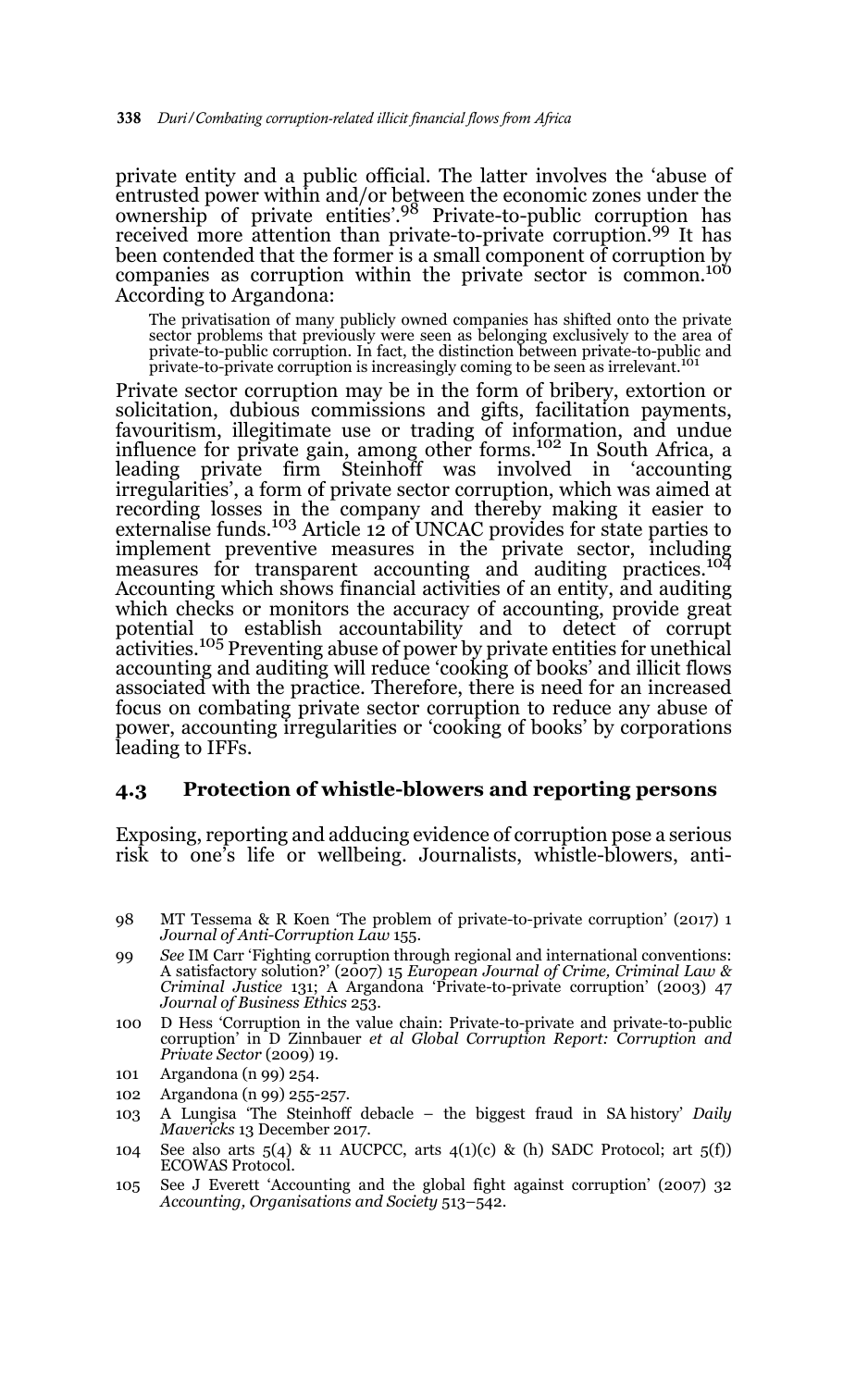private entity and a public official. The latter involves the 'abuse of entrusted power within and/or between the economic zones under the ownership of private entities'.98 Private-to-public corruption has received more attention than private-to-private corruption.99 It has been contended that the former is a small component of corruption by companies as corruption within the private sector is common.<sup>100</sup> According to Argandona:

The privatisation of many publicly owned companies has shifted onto the private sector problems that previously were seen as belonging exclusively to the area of private-to-public corruption. In fact, the distinction between private-to-public and private-to-private corruption is increasingly coming to be seen as irrelevant.<sup>101</sup>

Private sector corruption may be in the form of bribery, extortion or solicitation, dubious commissions and gifts, facilitation payments, favouritism, illegitimate use or trading of information, and undue influence for private gain, among other forms.<sup>102</sup> In South Africa, a leading private firm Steinhoff was involved in 'accounting irregularities', a form of private sector corruption, which was aimed at recording losses in the company and thereby making it easier to externalise funds.<sup>103</sup> Article 12 of UNCAC provides for state parties to implement preventive measures in the private sector, including measures for transparent accounting and auditing practices.<sup>104</sup> Accounting which shows financial activities of an entity, and auditing which checks or monitors the accuracy of accounting, provide great potential to establish accountability and to detect of corrupt activities.105 Preventing abuse of power by private entities for unethical accounting and auditing will reduce 'cooking of books' and illicit flows associated with the practice. Therefore, there is need for an increased focus on combating private sector corruption to reduce any abuse of power, accounting irregularities or 'cooking of books' by corporations leading to IFFs.

#### **4.3 Protection of whistle-blowers and reporting persons**

Exposing, reporting and adducing evidence of corruption pose a serious risk to one's life or wellbeing. Journalists, whistle-blowers, anti-

- 99 *See* IM Carr 'Fighting corruption through regional and international conventions: A satisfactory solution?' (2007) 15 *European Journal of Crime, Criminal Law & Criminal Justice* 131; A Argandona 'Private-to-private corruption' (2003) 47 *Journal of Business Ethics* 253.
- 100 D Hess 'Corruption in the value chain: Private-to-private and private-to-public corruption' in D Zinnbauer *et al Global Corruption Report: Corruption and Private Sector* (2009) 19.
- 101 Argandona (n 99) 254.
- 102 Argandona (n 99) 255-257.
- 103 A Lungisa 'The Steinhoff debacle the biggest fraud in SA history' *Daily Mavericks* 13 December 2017.
- 104 See also arts  $5(4)$  & 11 AUCPCC, arts  $4(1)(c)$  & (h) SADC Protocol; art  $5(f)$ ) ECOWAS Protocol.
- 105 See J Everett 'Accounting and the global fight against corruption' (2007) 32 *Accounting, Organisations and Society* 513–542.

<sup>98</sup> MT Tessema & R Koen 'The problem of private-to-private corruption' (2017) 1 *Journal of Anti-Corruption Law* 155.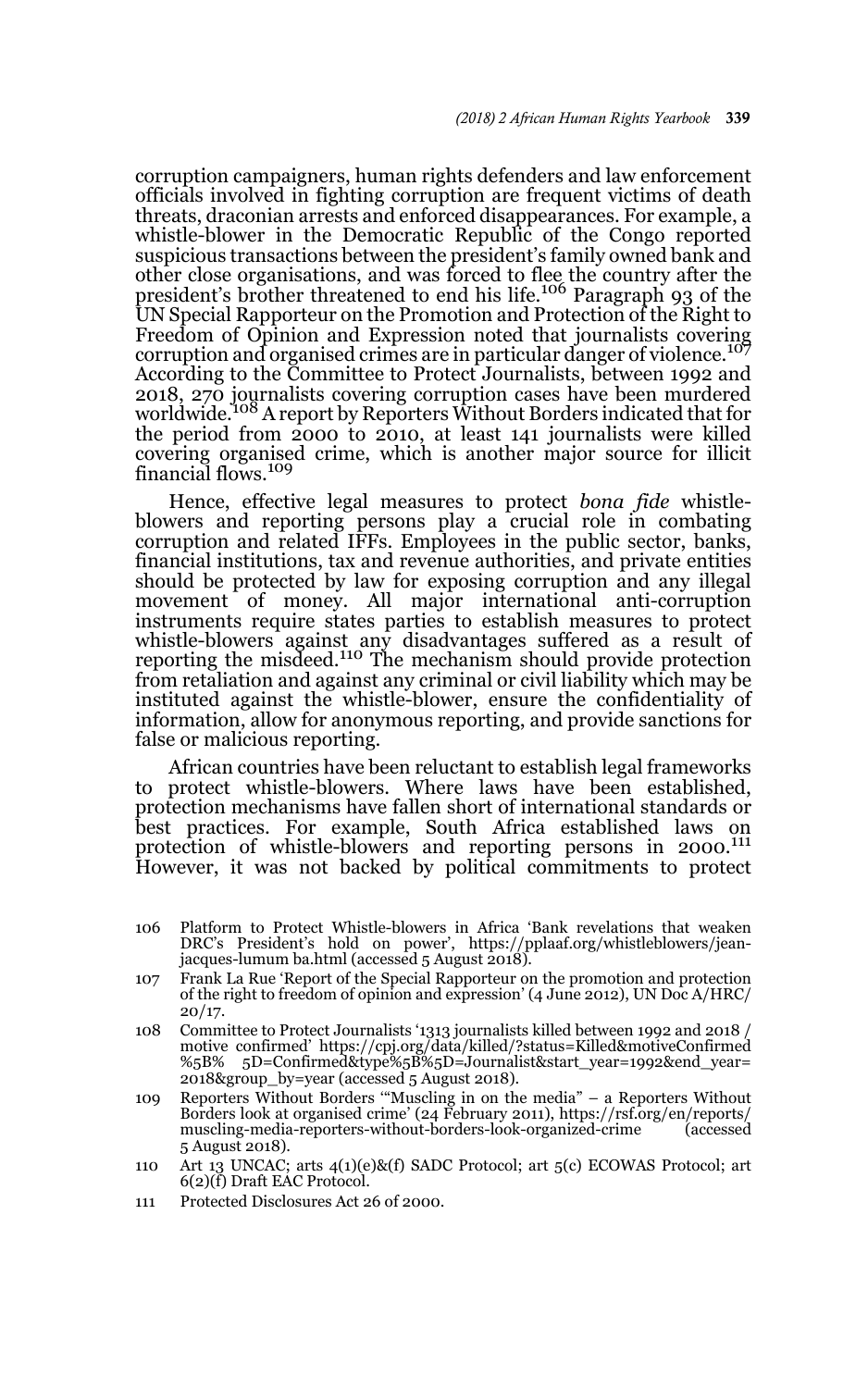corruption campaigners, human rights defenders and law enforcement officials involved in fighting corruption are frequent victims of death threats, draconian arrests and enforced disappearances. For example, a whistle-blower in the Democratic Republic of the Congo reported suspicious transactions between the president's family owned bank and other close organisations, and was forced to flee the country after the president's brother threatened to end his life.<sup>106</sup> Paragraph 93 of the UN Special Rapporteur on the Promotion and Protection of the Right to Freedom of Opinion and Expression noted that journalists covering corruption and organised crimes are in particular danger of violence.<sup>107</sup> According to the Committee to Protect Journalists, between 1992 and 2018, 270 journalists covering corruption cases have been murdered worldwide.108 A report by Reporters Without Borders indicated that for the period from 2000 to 2010, at least 141 journalists were killed covering organised crime, which is another major source for illicit financial flows.<sup>109</sup>

Hence, effective legal measures to protect *bona fide* whistleblowers and reporting persons play a crucial role in combating corruption and related IFFs. Employees in the public sector, banks, financial institutions, tax and revenue authorities, and private entities should be protected by law for exposing corruption and any illegal movement of money. All major international anti-corruption instruments require states parties to establish measures to protect whistle-blowers against any disadvantages suffered as a result of<br>reporting the misdeed.<sup>110</sup> The mechanism should provide protection from retaliation and against any criminal or civil liability which may be instituted against the whistle-blower, ensure the confidentiality of information, allow for anonymous reporting, and provide sanctions for false or malicious reporting.

African countries have been reluctant to establish legal frameworks to protect whistle-blowers. Where laws have been established, protection mechanisms have fallen short of international standards or best practices. For example, South Africa established laws on protection of whistle-blowers and reporting persons in 2000.<sup>111</sup> However, it was not backed by political commitments to protect

- 106 Platform to Protect Whistle-blowers in Africa 'Bank revelations that weaken DRC's President's hold on power', https://pplaaf.org/whistleblowers/jeanjacques-lumum ba.html (accessed 5 August 2018).
- 107 Frank La Rue 'Report of the Special Rapporteur on the promotion and protection of the right to freedom of opinion and expression' (4 June 2012), UN Doc A/HRC/  $20/17.$
- 108 Committee to Protect Journalists '1313 journalists killed between 1992 and 2018 / motive confirmed' https://cpj.org/data/killed/?status=Killed&motiveConfirmed %5B% 5D=Confirmed&type%5B%5D=Journalist&start\_year=1992&end\_year= 2018&group\_by=year (accessed 5 August 2018).
- 109 Reporters Without Borders '"Muscling in on the media" a Reporters Without Borders look at organised crime' (24 February 2011), https://rsf.org/en/reports/ muscling-media-reporters-without-borders-look-organized-crime 5 August 2018).
- 110 Art 13 UNCAC; arts 4(1)(e)&(f) SADC Protocol; art 5(c) ECOWAS Protocol; art 6(2)(f) Draft EAC Protocol.
- 111 Protected Disclosures Act 26 of 2000.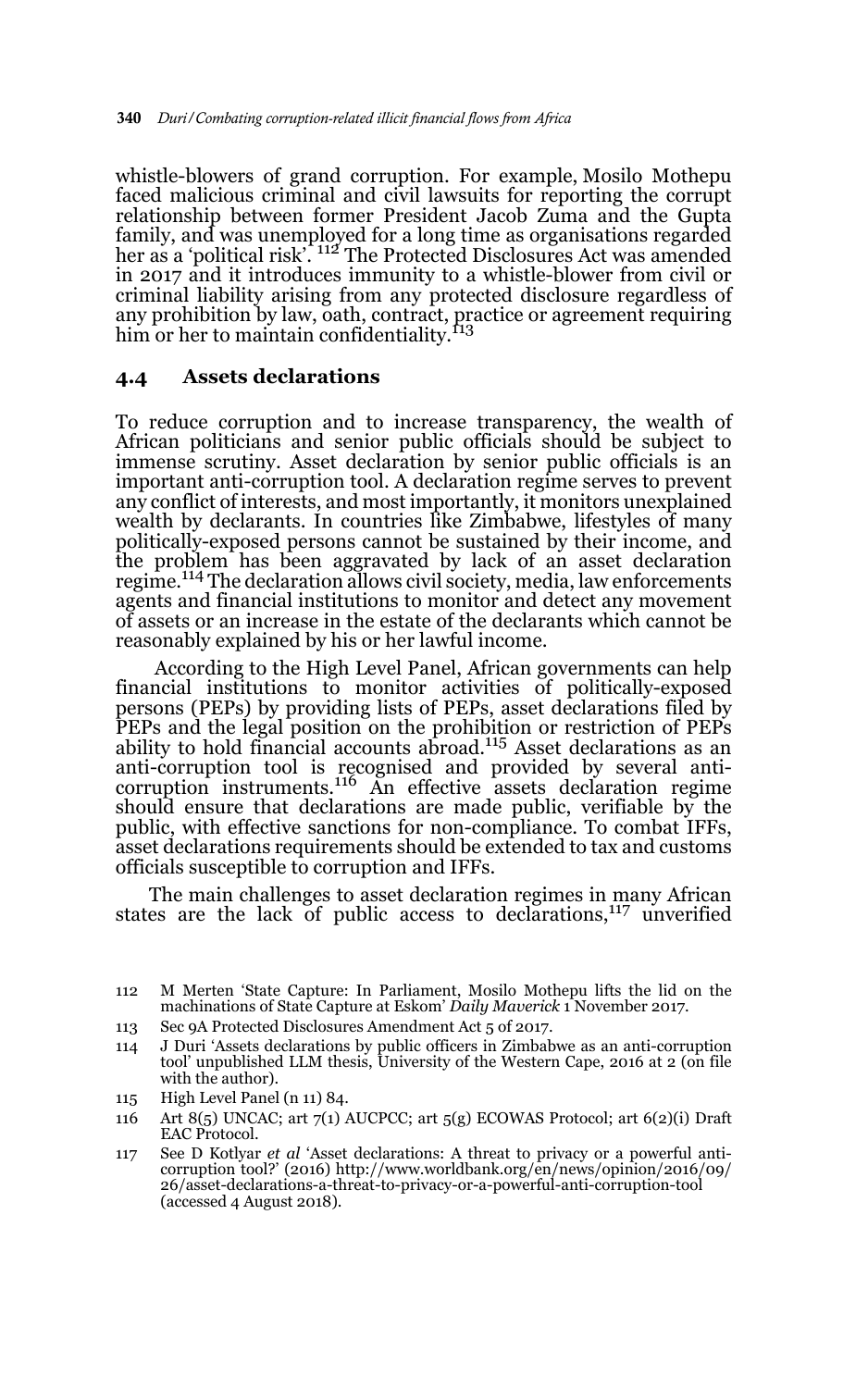whistle-blowers of grand corruption. For example, Mosilo Mothepu faced malicious criminal and civil lawsuits for reporting the corrupt relationship between former President Jacob Zuma and the Gupta family, and was unemployed for a long time as organisations regarded her as a 'political risk'. <sup>112</sup> The Protected Disclosures Act was amended in 2017 and it introduces immunity to a whistle-blower from civil or criminal liability arising from any protected disclosure regardless of any prohibition by law, oath, contract, practice or agreement requiring<br>him or her to maintain confidentiality.<sup>113</sup>

#### **4.4 Assets declarations**

To reduce corruption and to increase transparency, the wealth of African politicians and senior public officials should be subject to immense scrutiny. Asset declaration by senior public officials is an important anti-corruption tool. A declaration regime serves to prevent any conflict of interests, and most importantly, it monitors unexplained wealth by declarants. In countries like Zimbabwe, lifestyles of many politically-exposed persons cannot be sustained by their income, and the problem has been aggravated by lack of an asset declaration regime.114 The declaration allows civil society, media, law enforcements agents and financial institutions to monitor and detect any movement of assets or an increase in the estate of the declarants which cannot be reasonably explained by his or her lawful income.

 According to the High Level Panel, African governments can help financial institutions to monitor activities of politically-exposed persons (PEPs) by providing lists of PEPs, asset declarations filed by PEPs and the legal position on the prohibition or restriction of PEPs ability to hold financial accounts abroad.115 Asset declarations as an anti-corruption tool is recognised and provided by several anti-corruption instruments.116 An effective assets declaration regime should ensure that declarations are made public, verifiable by the public, with effective sanctions for non-compliance. To combat IFFs, asset declarations requirements should be extended to tax and customs officials susceptible to corruption and IFFs.

The main challenges to asset declaration regimes in many African states are the lack of public access to declarations,<sup>117</sup> unverified

113 Sec 9A Protected Disclosures Amendment Act 5 of 2017.

- 114 J Duri 'Assets declarations by public officers in Zimbabwe as an anti-corruption tool' unpublished LLM thesis, University of the Western Cape, 2016 at 2 (on file with the author).
- 115 High Level Panel (n 11) 84.
- 116 Art  $8(5)$  UNCAC; art  $7(1)$  AUCPCC; art  $5(9)$  ECOWAS Protocol; art  $6(2)(i)$  Draft EAC Protocol.
- 117 See D Kotlyar *et al* 'Asset declarations: A threat to privacy or a powerful anticorruption tool?' (2016) http://www.worldbank.org/en/news/opinion/2016/09/ 26/asset-declarations-a-threat-to-privacy-or-a-powerful-anti-corruption-tool (accessed 4 August 2018).

<sup>112</sup> M Merten 'State Capture: In Parliament, Mosilo Mothepu lifts the lid on the machinations of State Capture at Eskom' *Daily Maverick* 1 November 2017.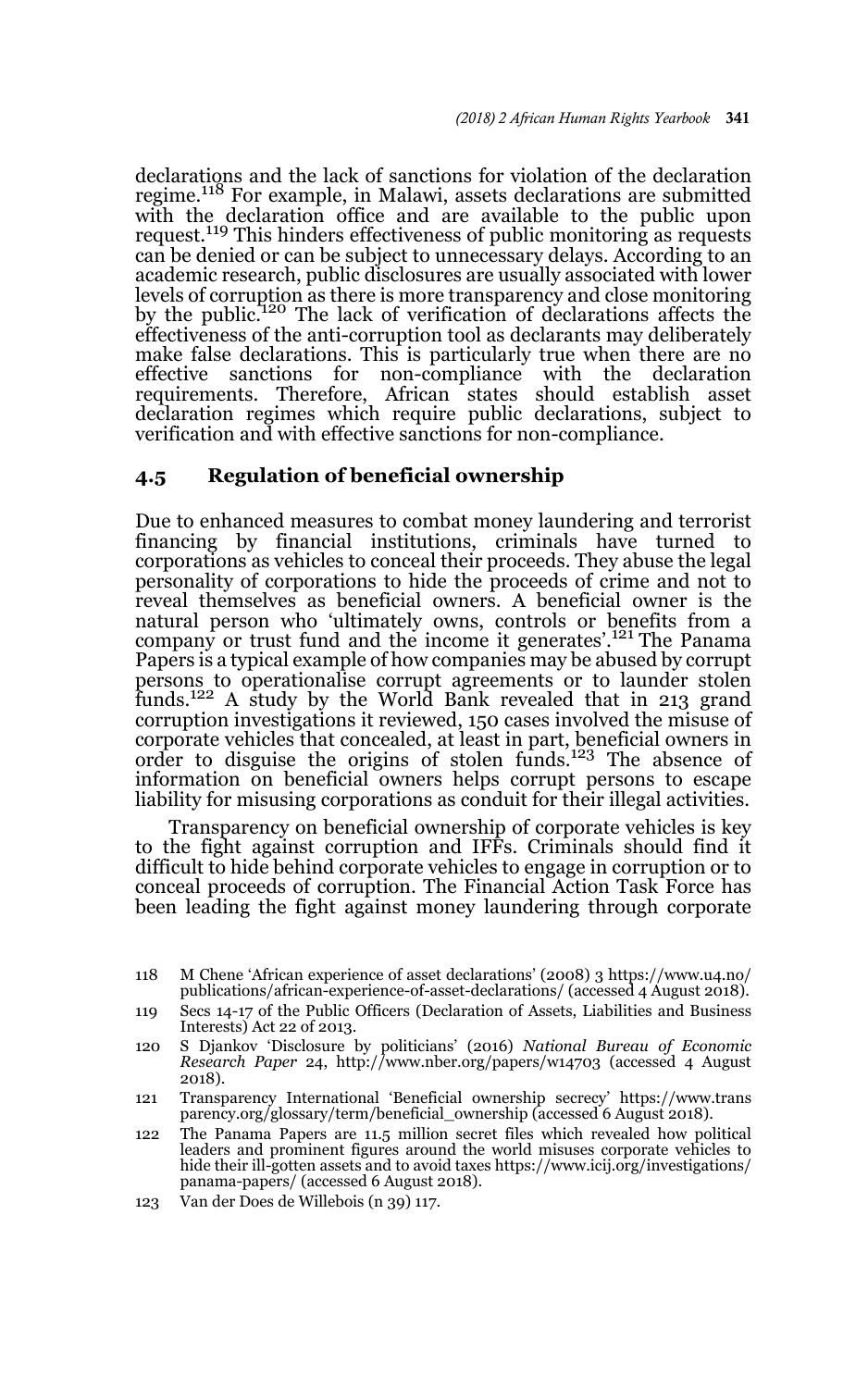declarations and the lack of sanctions for violation of the declaration regime.118 For example, in Malawi, assets declarations are submitted with the declaration office and are available to the public upon request.<sup>119</sup> This hinders effectiveness of public monitoring as requests can be denied or can be subject to unnecessary delays. According to an academic research, public disclosures are usually associated with lower levels of corruption as there is more transparency and close monitoring by the public.120 The lack of verification of declarations affects the effectiveness of the anti-corruption tool as declarants may deliberately make false declarations. This is particularly true when there are no effective sanctions for non-compliance with the declaration effective sanctions for non-compliance with the declaration requirements. Therefore, African states should establish asset declaration regimes which require public declarations, subject to verification and with effective sanctions for non-compliance.

### **4.5 Regulation of beneficial ownership**

Due to enhanced measures to combat money laundering and terrorist financing by financial institutions, criminals have turned to corporations as vehicles to conceal their proceeds. They abuse the legal personality of corporations to hide the proceeds of crime and not to reveal themselves as beneficial owners. A beneficial owner is the natural person who 'ultimately owns, controls or benefits from a company or trust fund and the income it generates'.121 The Panama Papers is a typical example of how companies may be abused by corrupt persons to operationalise corrupt agreements or to launder stolen funds.<sup>122</sup> A study by the World Bank revealed that in 213 grand corruption investigations it reviewed, 150 cases involved the misuse of corporate vehicles that concealed, at least in part, beneficial owners in order to disguise the origins of stolen funds.123 The absence of information on beneficial owners helps corrupt persons to escape liability for misusing corporations as conduit for their illegal activities.

Transparency on beneficial ownership of corporate vehicles is key to the fight against corruption and IFFs. Criminals should find it difficult to hide behind corporate vehicles to engage in corruption or to conceal proceeds of corruption. The Financial Action Task Force has been leading the fight against money laundering through corporate

<sup>118</sup> M Chene 'African experience of asset declarations' (2008) 3 https://www.u4.no/ publications/african-experience-of-asset-declarations/ (accessed 4 August 2018).

<sup>119</sup> Secs 14-17 of the Public Officers (Declaration of Assets, Liabilities and Business Interests) Act 22 of 2013.

<sup>120</sup> S Djankov 'Disclosure by politicians' (2016) *National Bureau of Economic Research Paper* 24, http://www.nber.org/papers/w14703 (accessed 4 August 2018).

<sup>121</sup> Transparency International 'Beneficial ownership secrecy' https://www.trans parency.org/glossary/term/beneficial\_ownership (accessed 6 August 2018).

<sup>122</sup> The Panama Papers are 11.5 million secret files which revealed how political leaders and prominent figures around the world misuses corporate vehicles to hide their ill-gotten assets and to avoid taxes https://www.icij.org/investigations/ panama-papers/ (accessed 6 August 2018).

<sup>123</sup> Van der Does de Willebois (n 39) 117.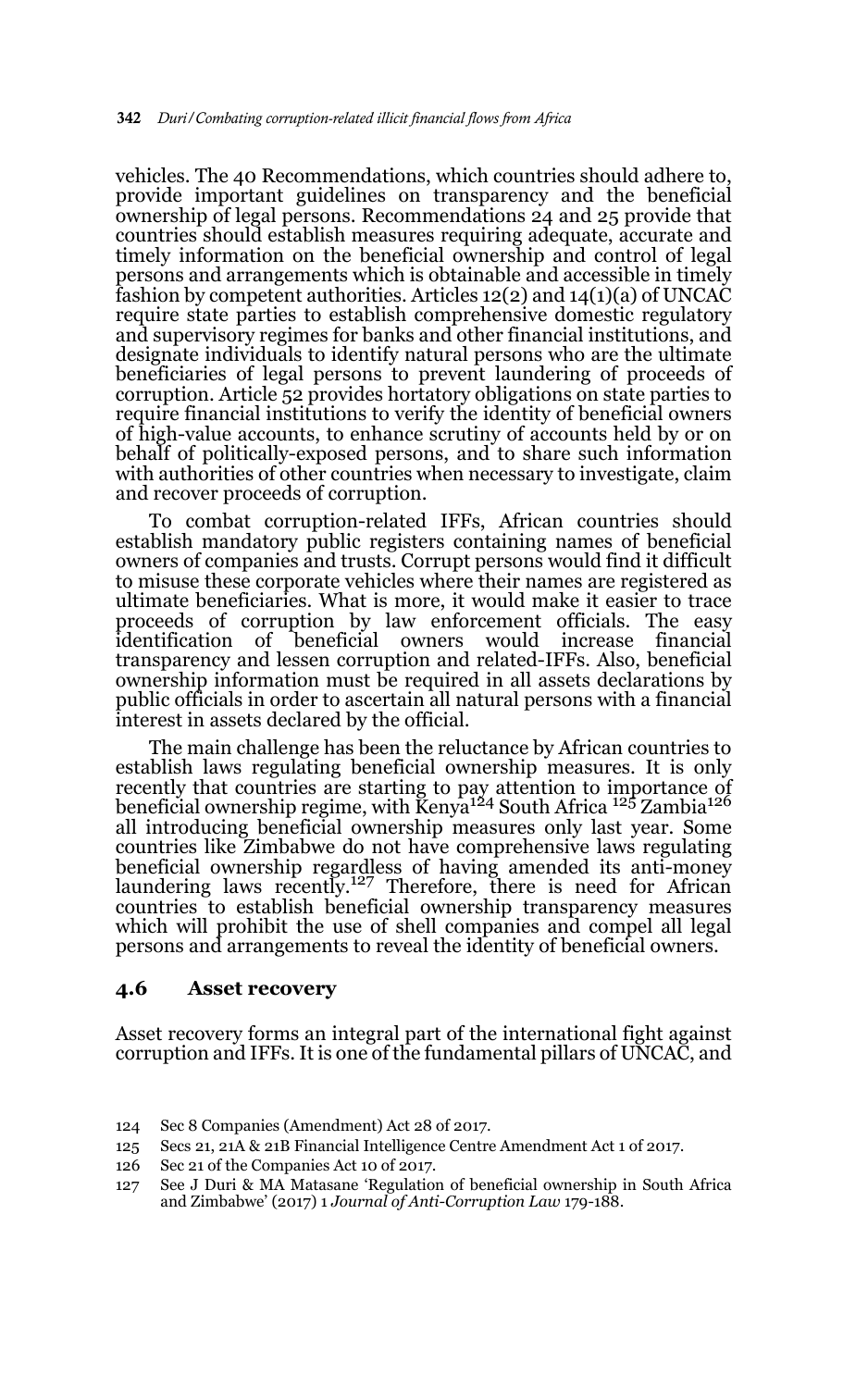vehicles. The 40 Recommendations, which countries should adhere to, provide important guidelines on transparency and the beneficial ownership of legal persons. Recommendations 24 and 25 provide that countries should establish measures requiring adequate, accurate and timely information on the beneficial ownership and control of legal persons and arrangements which is obtainable and accessible in timely fashion by competent authorities. Articles 12(2) and 14(1)(a) of UNCAC require state parties to establish comprehensive domestic regulatory and supervisory regimes for banks and other financial institutions, and designate individuals to identify natural persons who are the ultimate beneficiaries of legal persons to prevent laundering of proceeds of corruption. Article 52 provides hortatory obligations on state parties to require financial institutions to verify the identity of beneficial owners of high-value accounts, to enhance scrutiny of accounts held by or on behalf of politically-exposed persons, and to share such information with authorities of other countries when necessary to investigate, claim and recover proceeds of corruption.

To combat corruption-related IFFs, African countries should establish mandatory public registers containing names of beneficial owners of companies and trusts. Corrupt persons would find it difficult to misuse these corporate vehicles where their names are registered as ultimate beneficiaries. What is more, it would make it easier to trace proceeds of corruption by law enforcement officials. The easy owners would increase financial transparency and lessen corruption and related-IFFs. Also, beneficial ownership information must be required in all assets declarations by public officials in order to ascertain all natural persons with a financial interest in assets declared by the official.

The main challenge has been the reluctance by African countries to establish laws regulating beneficial ownership measures. It is only recently that countries are starting to pay attention to importance of<br>beneficial ownership regime, with Kenya<sup>124</sup> South Africa <sup>125</sup> Zambia<sup>126</sup> all introducing beneficial ownership measures only last year. Some countries like Zimbabwe do not have comprehensive laws regulating beneficial ownership regardless of having amended its anti-money laundering laws recently.<sup>127</sup> Therefore, there is need for African countries to establish beneficial ownership transparency measures which will prohibit the use of shell companies and compel all legal persons and arrangements to reveal the identity of beneficial owners.

#### **4.6 Asset recovery**

Asset recovery forms an integral part of the international fight against corruption and IFFs. It is one of the fundamental pillars of UNCAC, and

125 Secs 21, 21A & 21B Financial Intelligence Centre Amendment Act 1 of 2017.

<sup>124</sup> Sec 8 Companies (Amendment) Act 28 of 2017.

<sup>126</sup> Sec 21 of the Companies Act 10 of 2017.

<sup>127</sup> See J Duri & MA Matasane 'Regulation of beneficial ownership in South Africa and Zimbabwe' (2017) 1 *Journal of Anti-Corruption Law* 179-188.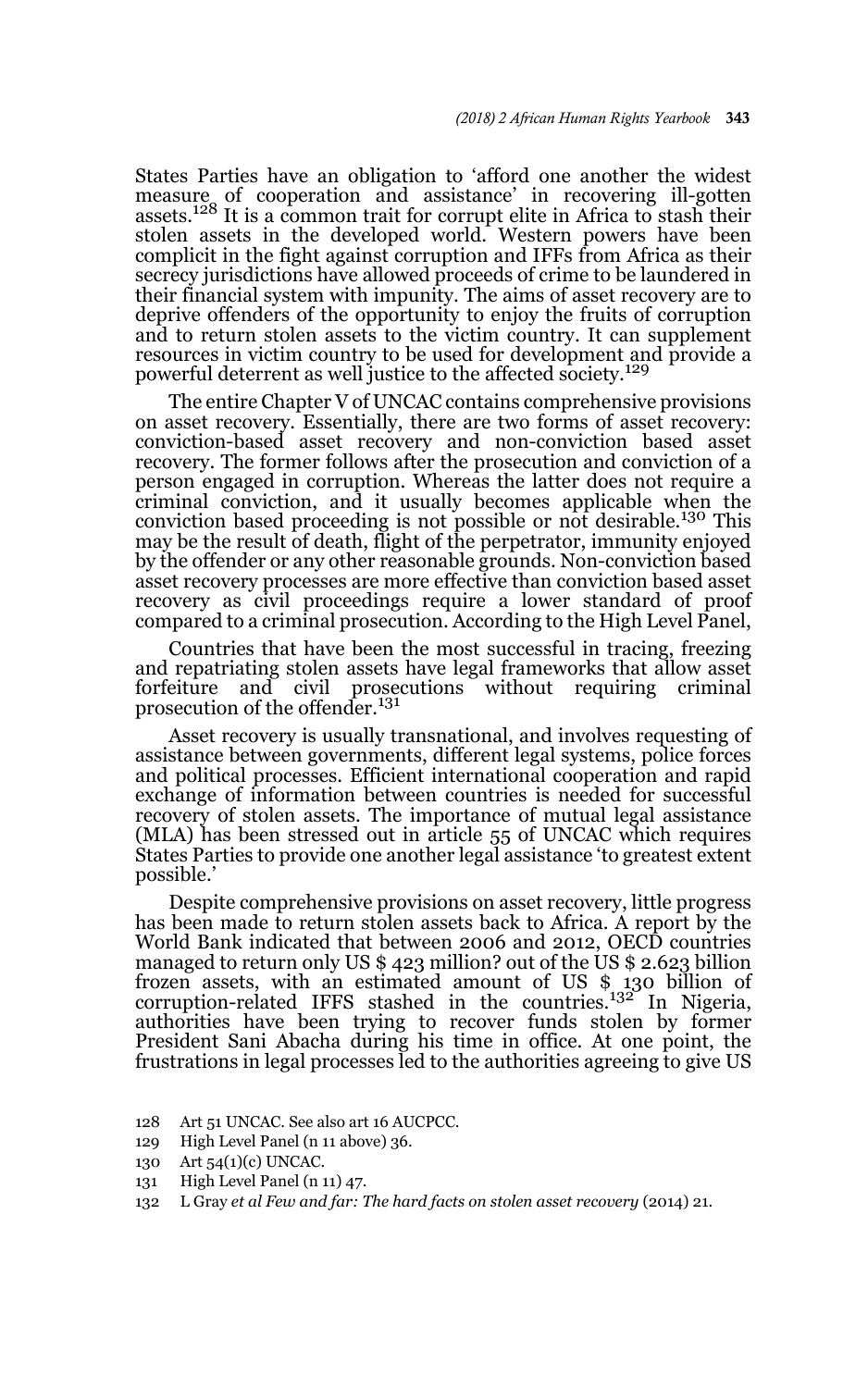States Parties have an obligation to 'afford one another the widest measure of cooperation and assistance' in recovering ill-gotten<br>assets.<sup>128</sup> It is a common trait for corrupt elite in Africa to stash their stolen assets in the developed world. Western powers have been complicit in the fight against corruption and IFFs from Africa as their secrecy jurisdictions have allowed proceeds of crime to be laundered in their financial system with impunity. The aims of asset recovery are to deprive offenders of the opportunity to enjoy the fruits of corruption and to return stolen assets to the victim country. It can supplement resources in victim country to be used for development and provide a powerful deterrent as well justice to the affected society.<sup>129</sup>

The entire Chapter V of UNCAC contains comprehensive provisions on asset recovery. Essentially, there are two forms of asset recovery: conviction-based asset recovery and non-conviction based asset recovery. The former follows after the prosecution and conviction of a person engaged in corruption. Whereas the latter does not require a criminal conviction, and it usually becomes applicable when the conviction based proceeding is not possible or not desirable.130 This may be the result of death, flight of the perpetrator, immunity enjoyed by the offender or any other reasonable grounds. Non-conviction based asset recovery processes are more effective than conviction based asset recovery as civil proceedings require a lower standard of proof compared to a criminal prosecution. According to the High Level Panel,

Countries that have been the most successful in tracing, freezing and repatriating stolen assets have legal frameworks that allow asset forfeiture and civil prosecutions without requiring criminal prosecution of the offender.<sup>131</sup>

Asset recovery is usually transnational, and involves requesting of assistance between governments, different legal systems, police forces and political processes. Efficient international cooperation and rapid exchange of information between countries is needed for successful recovery of stolen assets. The importance of mutual legal assistance (MLA) has been stressed out in article 55 of UNCAC which requires States Parties to provide one another legal assistance 'to greatest extent possible.'

Despite comprehensive provisions on asset recovery, little progress has been made to return stolen assets back to Africa. A report by the World Bank indicated that between 2006 and 2012, OECD countries managed to return only US \$ 423 million? out of the US \$ 2.623 billion frozen assets, with an estimated amount of US \$ 130 billion of corruption-related IFFS stashed in the countries.<sup>132</sup> In Nigeria, authorities have been trying to recover funds stolen by former President Sani Abacha during his time in office. At one point, the frustrations in legal processes led to the authorities agreeing to give US

- 128 Art 51 UNCAC. See also art 16 AUCPCC.
- 129 High Level Panel (n 11 above) 36.
- 130 Art 54(1)(c) UNCAC.
- 131 High Level Panel (n 11) 47.
- 132 L Gray *et al Few and far: The hard facts on stolen asset recovery* (2014) 21.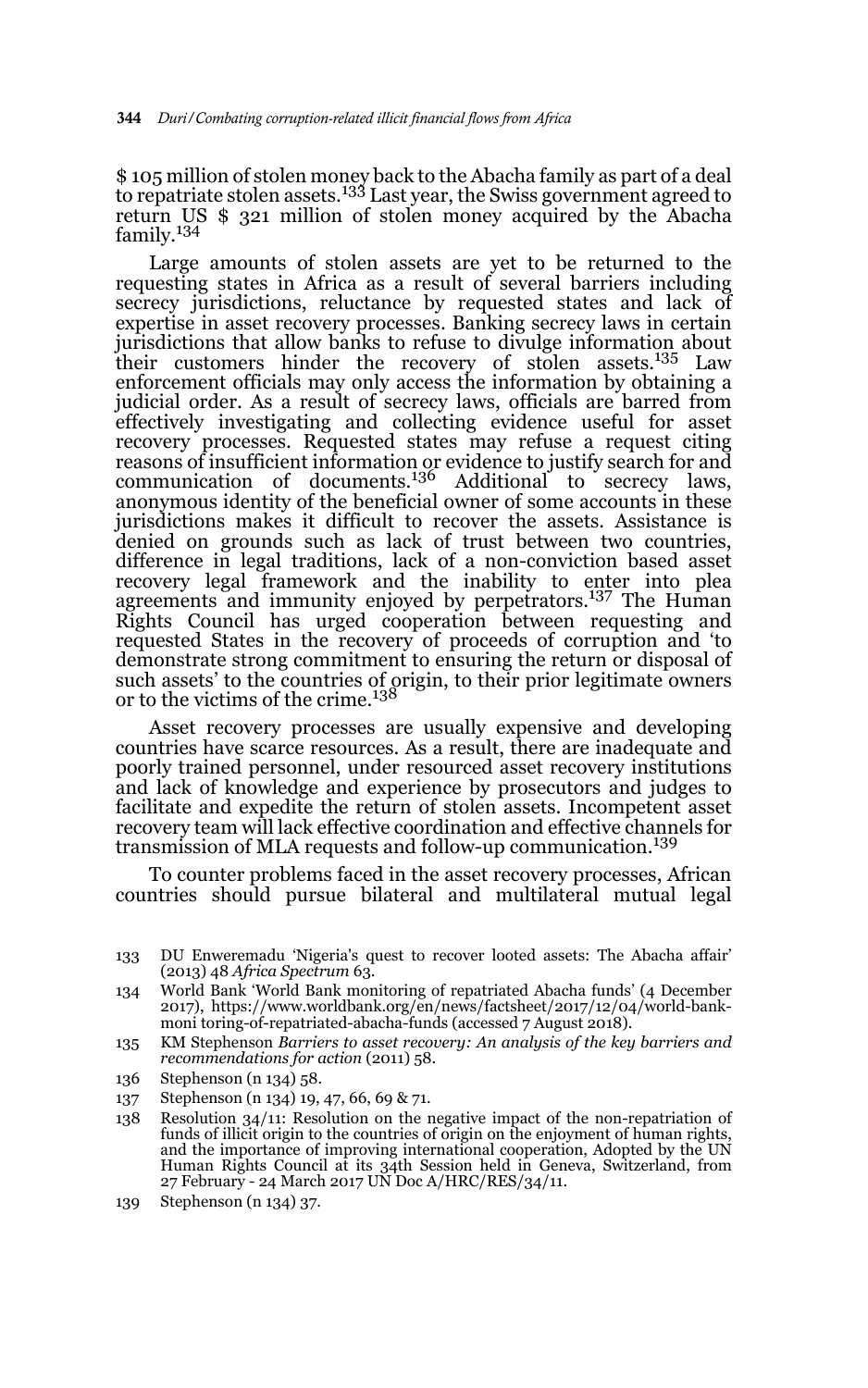\$ 105 million of stolen money back to the Abacha family as part of a deal to repatriate stolen assets.<sup>133</sup> Last year, the Swiss government agreed to return US \$ 321 million of stolen money acquired by the Abacha family.134

Large amounts of stolen assets are yet to be returned to the requesting states in Africa as a result of several barriers including secrecy jurisdictions, reluctance by requested states and lack of expertise in asset recovery processes. Banking secrecy laws in certain jurisdictions that allow banks to refuse to divulge information about their customers hinder the recovery of stolen assets.135 Law enforcement officials may only access the information by obtaining a judicial order. As a result of secrecy laws, officials are barred from effectively investigating and collecting evidence useful for asset recovery processes. Requested states may refuse a request citing reasons of insufficient information or evidence to justify search for and communication of documents.<sup>136</sup> Additional to secrecy laws, anonymous identity of the beneficial owner of some accounts in these jurisdictions makes it difficult to recover the assets. Assistance is denied on grounds such as lack of trust between two countries, difference in legal traditions, lack of a non-conviction based asset recovery legal framework and the inability to enter into plea agreements and immunity enjoyed by perpetrators.137 The Human Rights Council has urged cooperation between requesting and requested States in the recovery of proceeds of corruption and 'to demonstrate strong commitment to ensuring the return or disposal of such assets' to the countries of origin, to their prior legitimate owners<br>or to the victims of the crime.<sup>138</sup>

Asset recovery processes are usually expensive and developing countries have scarce resources. As a result, there are inadequate and poorly trained personnel, under resourced asset recovery institutions and lack of knowledge and experience by prosecutors and judges to facilitate and expedite the return of stolen assets. Incompetent asset recovery team will lack effective coordination and effective channels for transmission of MLA requests and follow-up communication.<sup>139</sup>

To counter problems faced in the asset recovery processes, African countries should pursue bilateral and multilateral mutual legal

- 136 Stephenson (n 134) 58.
- 137 Stephenson (n 134) 19, 47, 66, 69 & 71.
- 138 Resolution 34/11: Resolution on the negative impact of the non-repatriation of funds of illicit origin to the countries of origin on the enjoyment of human rights, and the importance of improving international cooperation, Adopted by the UN Human Rights Council at its 34th Session held in Geneva, Switzerland, from 27 February - 24 March 2017 UN Doc A/HRC/RES/34/11.
- 139 Stephenson (n 134) 37.

<sup>133</sup> DU Enweremadu 'Nigeria's quest to recover looted assets: The Abacha affair' (2013) 48 *Africa Spectrum* 63.

<sup>134</sup> World Bank 'World Bank monitoring of repatriated Abacha funds' (4 December 2017), https://www.worldbank.org/en/news/factsheet/2017/12/04/world-bankmoni toring-of-repatriated-abacha-funds (accessed 7 August 2018).

<sup>135</sup> KM Stephenson *Barriers to asset recovery: An analysis of the key barriers and recommendations for action* (2011) 58.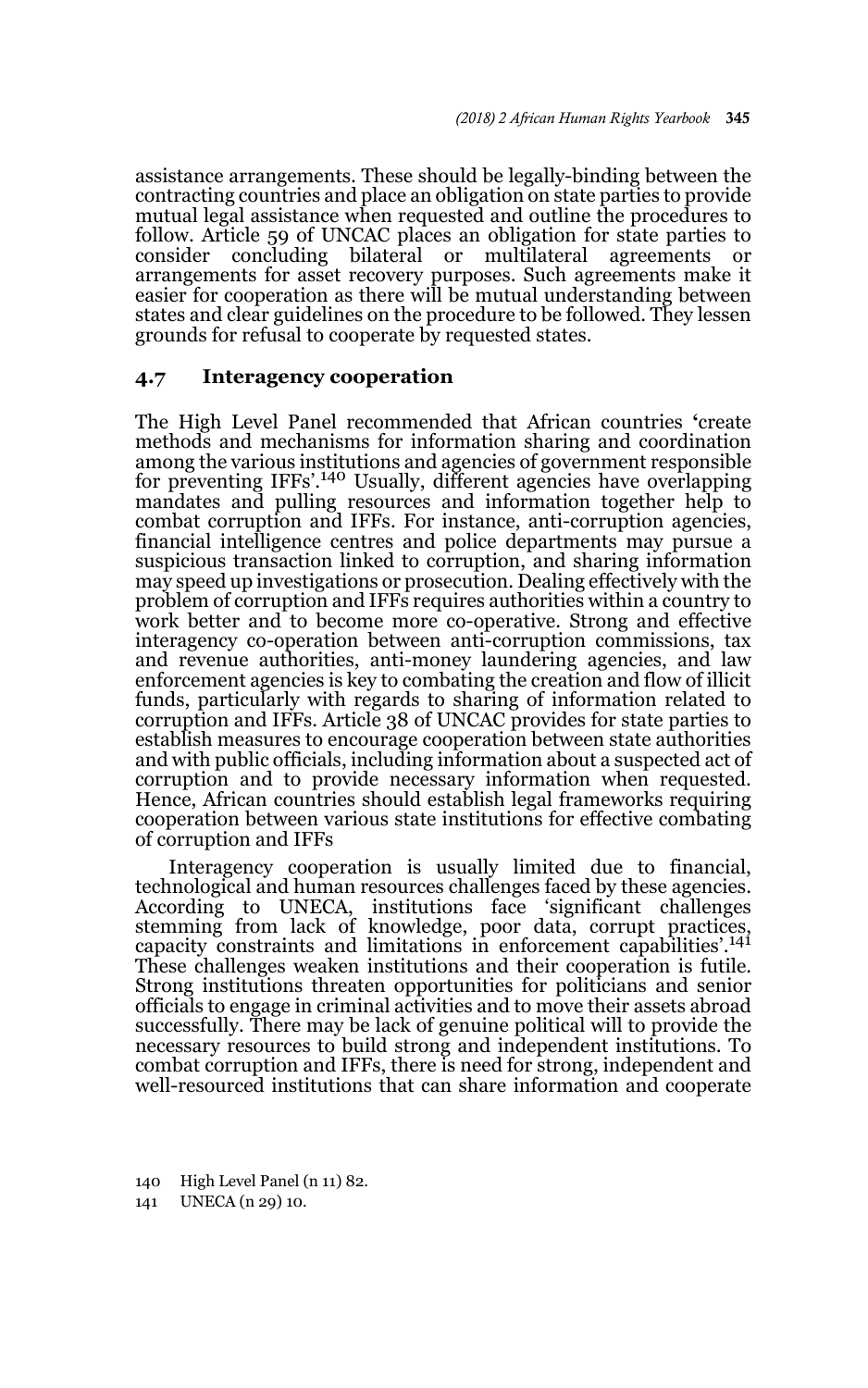assistance arrangements. These should be legally-binding between the contracting countries and place an obligation on state parties to provide mutual legal assistance when requested and outline the procedures to follow. Article 59 of UNCAC places an obligation for state parties to consider concluding bilateral or multilateral agreements or arrangements for asset recovery purposes. Such agreements make it easier for cooperation as there will be mutual understanding between states and clear guidelines on the procedure to be followed. They lessen grounds for refusal to cooperate by requested states.

### **4.7 Interagency cooperation**

The High Level Panel recommended that African countries **'**create methods and mechanisms for information sharing and coordination among the various institutions and agencies of government responsible for preventing IFFs'.<sup>140</sup> Usually, different agencies have overlapping mandates and pulling resources and information together help to combat corruption and IFFs. For instance, anti-corruption agencies, financial intelligence centres and police departments may pursue a suspicious transaction linked to corruption, and sharing information may speed up investigations or prosecution. Dealing effectively with the problem of corruption and IFFs requires authorities within a country to work better and to become more co-operative. Strong and effective interagency co-operation between anti-corruption commissions, tax and revenue authorities, anti-money laundering agencies, and law enforcement agencies is key to combating the creation and flow of illicit funds, particularly with regards to sharing of information related to corruption and IFFs. Article 38 of UNCAC provides for state parties to establish measures to encourage cooperation between state authorities and with public officials, including information about a suspected act of corruption and to provide necessary information when requested. Hence, African countries should establish legal frameworks requiring cooperation between various state institutions for effective combating of corruption and IFFs

Interagency cooperation is usually limited due to financial, technological and human resources challenges faced by these agencies. According to UNECA, institutions face 'significant challenges stemming from lack of knowledge, poor data, corrupt practices, capacity constraints and limitations in enforcement capabilities'.<sup>141</sup> These challenges weaken institutions and their cooperation is futile. Strong institutions threaten opportunities for politicians and senior officials to engage in criminal activities and to move their assets abroad successfully. There may be lack of genuine political will to provide the necessary resources to build strong and independent institutions. To combat corruption and IFFs, there is need for strong, independent and well-resourced institutions that can share information and cooperate

140 High Level Panel (n 11) 82.

141 UNECA (n 29) 10.